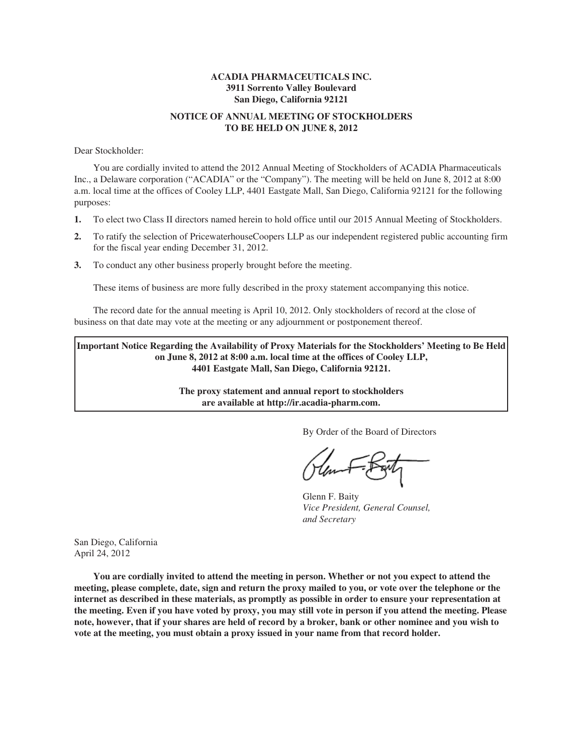## **ACADIA PHARMACEUTICALS INC. 3911 Sorrento Valley Boulevard San Diego, California 92121**

## **NOTICE OF ANNUAL MEETING OF STOCKHOLDERS TO BE HELD ON JUNE 8, 2012**

Dear Stockholder:

You are cordially invited to attend the 2012 Annual Meeting of Stockholders of ACADIA Pharmaceuticals Inc., a Delaware corporation ("ACADIA" or the "Company"). The meeting will be held on June 8, 2012 at 8:00 a.m. local time at the offices of Cooley LLP, 4401 Eastgate Mall, San Diego, California 92121 for the following purposes:

- **1.** To elect two Class II directors named herein to hold office until our 2015 Annual Meeting of Stockholders.
- **2.** To ratify the selection of PricewaterhouseCoopers LLP as our independent registered public accounting firm for the fiscal year ending December 31, 2012.
- **3.** To conduct any other business properly brought before the meeting.

These items of business are more fully described in the proxy statement accompanying this notice.

The record date for the annual meeting is April 10, 2012. Only stockholders of record at the close of business on that date may vote at the meeting or any adjournment or postponement thereof.

**Important Notice Regarding the Availability of Proxy Materials for the Stockholders' Meeting to Be Held on June 8, 2012 at 8:00 a.m. local time at the offices of Cooley LLP, 4401 Eastgate Mall, San Diego, California 92121.**

> **The proxy statement and annual report to stockholders are available at http://ir.acadia-pharm.com.**

> > By Order of the Board of Directors

Glenn F. Baity *Vice President, General Counsel, and Secretary*

San Diego, California April 24, 2012

**You are cordially invited to attend the meeting in person. Whether or not you expect to attend the meeting, please complete, date, sign and return the proxy mailed to you, or vote over the telephone or the internet as described in these materials, as promptly as possible in order to ensure your representation at the meeting. Even if you have voted by proxy, you may still vote in person if you attend the meeting. Please note, however, that if your shares are held of record by a broker, bank or other nominee and you wish to vote at the meeting, you must obtain a proxy issued in your name from that record holder.**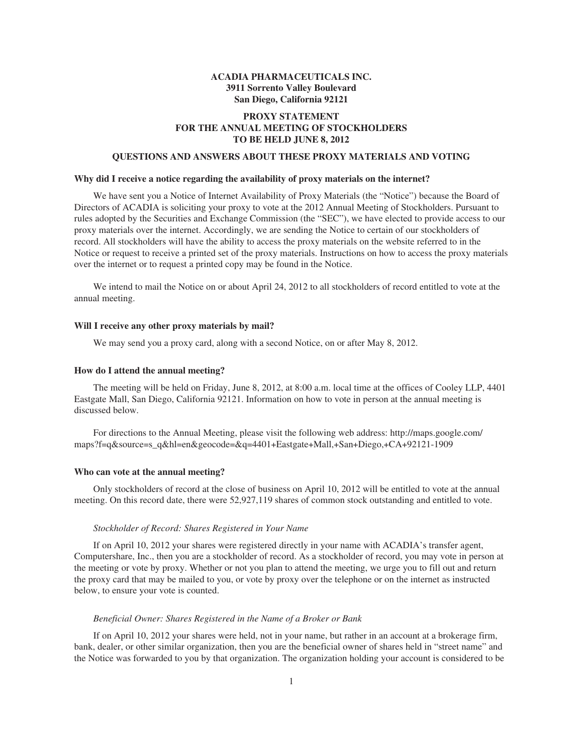## **ACADIA PHARMACEUTICALS INC. 3911 Sorrento Valley Boulevard San Diego, California 92121**

## **PROXY STATEMENT FOR THE ANNUAL MEETING OF STOCKHOLDERS TO BE HELD JUNE 8, 2012**

## **QUESTIONS AND ANSWERS ABOUT THESE PROXY MATERIALS AND VOTING**

## **Why did I receive a notice regarding the availability of proxy materials on the internet?**

We have sent you a Notice of Internet Availability of Proxy Materials (the "Notice") because the Board of Directors of ACADIA is soliciting your proxy to vote at the 2012 Annual Meeting of Stockholders. Pursuant to rules adopted by the Securities and Exchange Commission (the "SEC"), we have elected to provide access to our proxy materials over the internet. Accordingly, we are sending the Notice to certain of our stockholders of record. All stockholders will have the ability to access the proxy materials on the website referred to in the Notice or request to receive a printed set of the proxy materials. Instructions on how to access the proxy materials over the internet or to request a printed copy may be found in the Notice.

We intend to mail the Notice on or about April 24, 2012 to all stockholders of record entitled to vote at the annual meeting.

#### **Will I receive any other proxy materials by mail?**

We may send you a proxy card, along with a second Notice, on or after May 8, 2012.

## **How do I attend the annual meeting?**

The meeting will be held on Friday, June 8, 2012, at 8:00 a.m. local time at the offices of Cooley LLP, 4401 Eastgate Mall, San Diego, California 92121. Information on how to vote in person at the annual meeting is discussed below.

For directions to the Annual Meeting, please visit the following web address: http://maps.google.com/ maps?f=q&source=s\_q&hl=en&geocode=&q=4401+Eastgate+Mall,+San+Diego,+CA+92121-1909

#### **Who can vote at the annual meeting?**

Only stockholders of record at the close of business on April 10, 2012 will be entitled to vote at the annual meeting. On this record date, there were 52,927,119 shares of common stock outstanding and entitled to vote.

#### *Stockholder of Record: Shares Registered in Your Name*

If on April 10, 2012 your shares were registered directly in your name with ACADIA's transfer agent, Computershare, Inc., then you are a stockholder of record. As a stockholder of record, you may vote in person at the meeting or vote by proxy. Whether or not you plan to attend the meeting, we urge you to fill out and return the proxy card that may be mailed to you, or vote by proxy over the telephone or on the internet as instructed below, to ensure your vote is counted.

#### *Beneficial Owner: Shares Registered in the Name of a Broker or Bank*

If on April 10, 2012 your shares were held, not in your name, but rather in an account at a brokerage firm, bank, dealer, or other similar organization, then you are the beneficial owner of shares held in "street name" and the Notice was forwarded to you by that organization. The organization holding your account is considered to be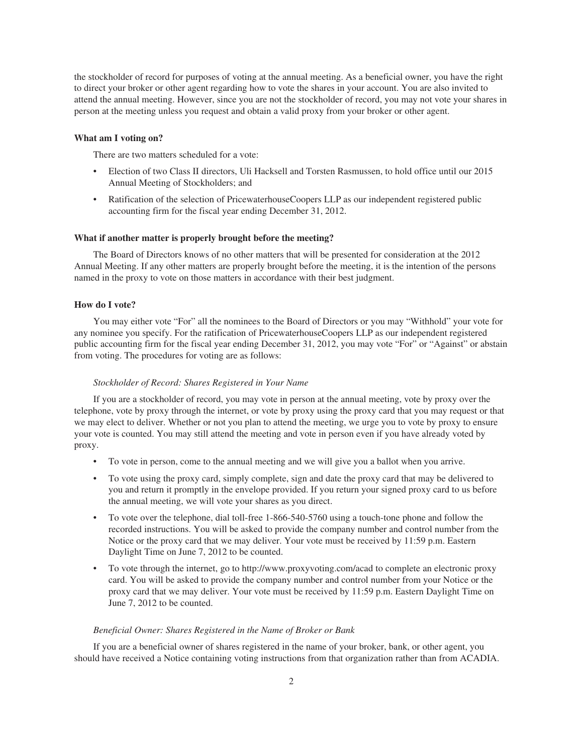the stockholder of record for purposes of voting at the annual meeting. As a beneficial owner, you have the right to direct your broker or other agent regarding how to vote the shares in your account. You are also invited to attend the annual meeting. However, since you are not the stockholder of record, you may not vote your shares in person at the meeting unless you request and obtain a valid proxy from your broker or other agent.

#### **What am I voting on?**

There are two matters scheduled for a vote:

- Election of two Class II directors, Uli Hacksell and Torsten Rasmussen, to hold office until our 2015 Annual Meeting of Stockholders; and
- Ratification of the selection of PricewaterhouseCoopers LLP as our independent registered public accounting firm for the fiscal year ending December 31, 2012.

#### **What if another matter is properly brought before the meeting?**

The Board of Directors knows of no other matters that will be presented for consideration at the 2012 Annual Meeting. If any other matters are properly brought before the meeting, it is the intention of the persons named in the proxy to vote on those matters in accordance with their best judgment.

## **How do I vote?**

You may either vote "For" all the nominees to the Board of Directors or you may "Withhold" your vote for any nominee you specify. For the ratification of PricewaterhouseCoopers LLP as our independent registered public accounting firm for the fiscal year ending December 31, 2012, you may vote "For" or "Against" or abstain from voting. The procedures for voting are as follows:

### *Stockholder of Record: Shares Registered in Your Name*

If you are a stockholder of record, you may vote in person at the annual meeting, vote by proxy over the telephone, vote by proxy through the internet, or vote by proxy using the proxy card that you may request or that we may elect to deliver. Whether or not you plan to attend the meeting, we urge you to vote by proxy to ensure your vote is counted. You may still attend the meeting and vote in person even if you have already voted by proxy.

- To vote in person, come to the annual meeting and we will give you a ballot when you arrive.
- To vote using the proxy card, simply complete, sign and date the proxy card that may be delivered to you and return it promptly in the envelope provided. If you return your signed proxy card to us before the annual meeting, we will vote your shares as you direct.
- To vote over the telephone, dial toll-free 1-866-540-5760 using a touch-tone phone and follow the recorded instructions. You will be asked to provide the company number and control number from the Notice or the proxy card that we may deliver. Your vote must be received by 11:59 p.m. Eastern Daylight Time on June 7, 2012 to be counted.
- To vote through the internet, go to http://www.proxyvoting.com/acad to complete an electronic proxy card. You will be asked to provide the company number and control number from your Notice or the proxy card that we may deliver. Your vote must be received by 11:59 p.m. Eastern Daylight Time on June 7, 2012 to be counted.

### *Beneficial Owner: Shares Registered in the Name of Broker or Bank*

If you are a beneficial owner of shares registered in the name of your broker, bank, or other agent, you should have received a Notice containing voting instructions from that organization rather than from ACADIA.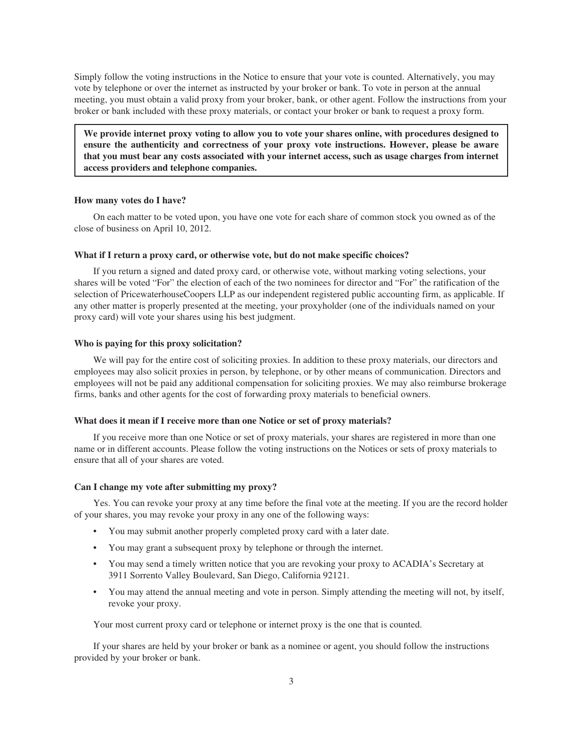Simply follow the voting instructions in the Notice to ensure that your vote is counted. Alternatively, you may vote by telephone or over the internet as instructed by your broker or bank. To vote in person at the annual meeting, you must obtain a valid proxy from your broker, bank, or other agent. Follow the instructions from your broker or bank included with these proxy materials, or contact your broker or bank to request a proxy form.

**We provide internet proxy voting to allow you to vote your shares online, with procedures designed to ensure the authenticity and correctness of your proxy vote instructions. However, please be aware that you must bear any costs associated with your internet access, such as usage charges from internet access providers and telephone companies.**

### **How many votes do I have?**

On each matter to be voted upon, you have one vote for each share of common stock you owned as of the close of business on April 10, 2012.

#### **What if I return a proxy card, or otherwise vote, but do not make specific choices?**

If you return a signed and dated proxy card, or otherwise vote, without marking voting selections, your shares will be voted "For" the election of each of the two nominees for director and "For" the ratification of the selection of PricewaterhouseCoopers LLP as our independent registered public accounting firm, as applicable. If any other matter is properly presented at the meeting, your proxyholder (one of the individuals named on your proxy card) will vote your shares using his best judgment.

#### **Who is paying for this proxy solicitation?**

We will pay for the entire cost of soliciting proxies. In addition to these proxy materials, our directors and employees may also solicit proxies in person, by telephone, or by other means of communication. Directors and employees will not be paid any additional compensation for soliciting proxies. We may also reimburse brokerage firms, banks and other agents for the cost of forwarding proxy materials to beneficial owners.

#### **What does it mean if I receive more than one Notice or set of proxy materials?**

If you receive more than one Notice or set of proxy materials, your shares are registered in more than one name or in different accounts. Please follow the voting instructions on the Notices or sets of proxy materials to ensure that all of your shares are voted.

#### **Can I change my vote after submitting my proxy?**

Yes. You can revoke your proxy at any time before the final vote at the meeting. If you are the record holder of your shares, you may revoke your proxy in any one of the following ways:

- You may submit another properly completed proxy card with a later date.
- You may grant a subsequent proxy by telephone or through the internet.
- You may send a timely written notice that you are revoking your proxy to ACADIA's Secretary at 3911 Sorrento Valley Boulevard, San Diego, California 92121.
- You may attend the annual meeting and vote in person. Simply attending the meeting will not, by itself, revoke your proxy.

Your most current proxy card or telephone or internet proxy is the one that is counted.

If your shares are held by your broker or bank as a nominee or agent, you should follow the instructions provided by your broker or bank.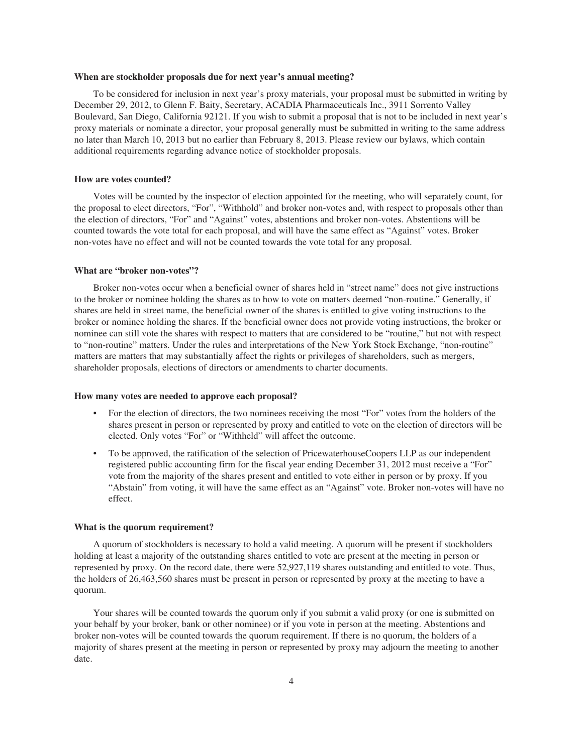#### **When are stockholder proposals due for next year's annual meeting?**

To be considered for inclusion in next year's proxy materials, your proposal must be submitted in writing by December 29, 2012, to Glenn F. Baity, Secretary, ACADIA Pharmaceuticals Inc., 3911 Sorrento Valley Boulevard, San Diego, California 92121. If you wish to submit a proposal that is not to be included in next year's proxy materials or nominate a director, your proposal generally must be submitted in writing to the same address no later than March 10, 2013 but no earlier than February 8, 2013. Please review our bylaws, which contain additional requirements regarding advance notice of stockholder proposals.

#### **How are votes counted?**

Votes will be counted by the inspector of election appointed for the meeting, who will separately count, for the proposal to elect directors, "For", "Withhold" and broker non-votes and, with respect to proposals other than the election of directors, "For" and "Against" votes, abstentions and broker non-votes. Abstentions will be counted towards the vote total for each proposal, and will have the same effect as "Against" votes. Broker non-votes have no effect and will not be counted towards the vote total for any proposal.

#### **What are "broker non-votes"?**

Broker non-votes occur when a beneficial owner of shares held in "street name" does not give instructions to the broker or nominee holding the shares as to how to vote on matters deemed "non-routine." Generally, if shares are held in street name, the beneficial owner of the shares is entitled to give voting instructions to the broker or nominee holding the shares. If the beneficial owner does not provide voting instructions, the broker or nominee can still vote the shares with respect to matters that are considered to be "routine," but not with respect to "non-routine" matters. Under the rules and interpretations of the New York Stock Exchange, "non-routine" matters are matters that may substantially affect the rights or privileges of shareholders, such as mergers, shareholder proposals, elections of directors or amendments to charter documents.

#### **How many votes are needed to approve each proposal?**

- For the election of directors, the two nominees receiving the most "For" votes from the holders of the shares present in person or represented by proxy and entitled to vote on the election of directors will be elected. Only votes "For" or "Withheld" will affect the outcome.
- To be approved, the ratification of the selection of PricewaterhouseCoopers LLP as our independent registered public accounting firm for the fiscal year ending December 31, 2012 must receive a "For" vote from the majority of the shares present and entitled to vote either in person or by proxy. If you "Abstain" from voting, it will have the same effect as an "Against" vote. Broker non-votes will have no effect.

## **What is the quorum requirement?**

A quorum of stockholders is necessary to hold a valid meeting. A quorum will be present if stockholders holding at least a majority of the outstanding shares entitled to vote are present at the meeting in person or represented by proxy. On the record date, there were 52,927,119 shares outstanding and entitled to vote. Thus, the holders of 26,463,560 shares must be present in person or represented by proxy at the meeting to have a quorum.

Your shares will be counted towards the quorum only if you submit a valid proxy (or one is submitted on your behalf by your broker, bank or other nominee) or if you vote in person at the meeting. Abstentions and broker non-votes will be counted towards the quorum requirement. If there is no quorum, the holders of a majority of shares present at the meeting in person or represented by proxy may adjourn the meeting to another date.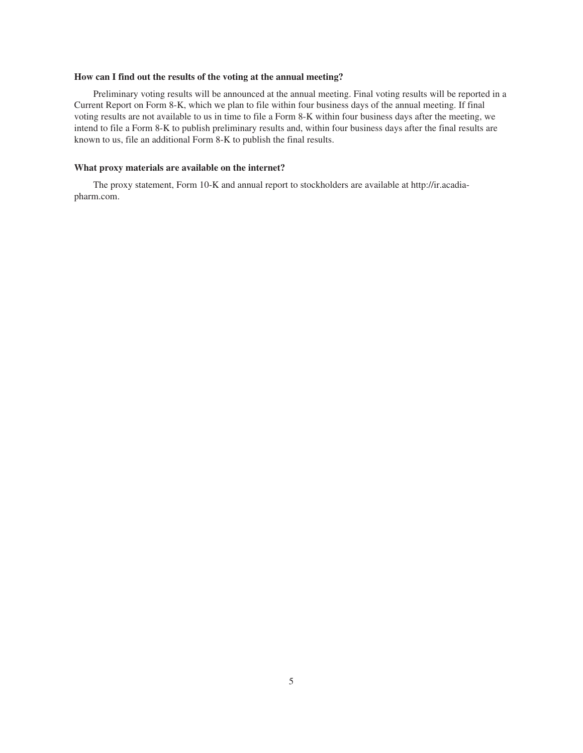# **How can I find out the results of the voting at the annual meeting?**

Preliminary voting results will be announced at the annual meeting. Final voting results will be reported in a Current Report on Form 8-K, which we plan to file within four business days of the annual meeting. If final voting results are not available to us in time to file a Form 8-K within four business days after the meeting, we intend to file a Form 8-K to publish preliminary results and, within four business days after the final results are known to us, file an additional Form 8-K to publish the final results.

## **What proxy materials are available on the internet?**

The proxy statement, Form 10-K and annual report to stockholders are available at http://ir.acadiapharm.com.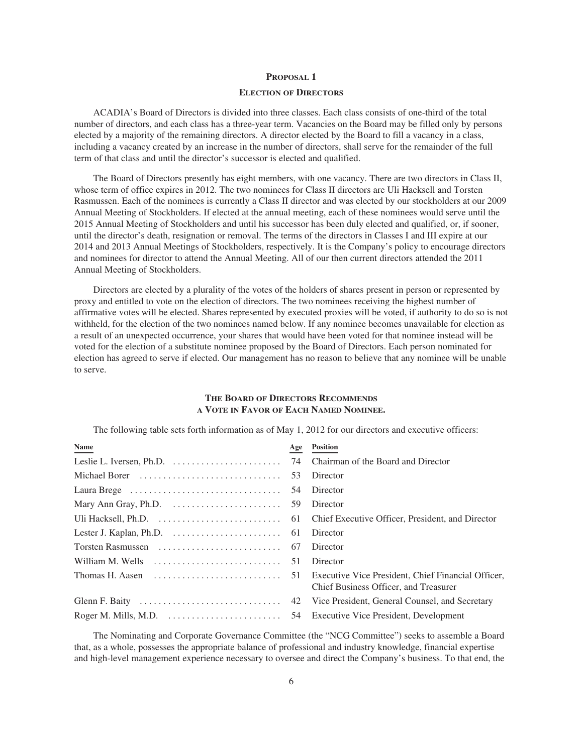#### **PROPOSAL 1**

## **ELECTION OF DIRECTORS**

ACADIA's Board of Directors is divided into three classes. Each class consists of one-third of the total number of directors, and each class has a three-year term. Vacancies on the Board may be filled only by persons elected by a majority of the remaining directors. A director elected by the Board to fill a vacancy in a class, including a vacancy created by an increase in the number of directors, shall serve for the remainder of the full term of that class and until the director's successor is elected and qualified.

The Board of Directors presently has eight members, with one vacancy. There are two directors in Class II, whose term of office expires in 2012. The two nominees for Class II directors are Uli Hacksell and Torsten Rasmussen. Each of the nominees is currently a Class II director and was elected by our stockholders at our 2009 Annual Meeting of Stockholders. If elected at the annual meeting, each of these nominees would serve until the 2015 Annual Meeting of Stockholders and until his successor has been duly elected and qualified, or, if sooner, until the director's death, resignation or removal. The terms of the directors in Classes I and III expire at our 2014 and 2013 Annual Meetings of Stockholders, respectively. It is the Company's policy to encourage directors and nominees for director to attend the Annual Meeting. All of our then current directors attended the 2011 Annual Meeting of Stockholders.

Directors are elected by a plurality of the votes of the holders of shares present in person or represented by proxy and entitled to vote on the election of directors. The two nominees receiving the highest number of affirmative votes will be elected. Shares represented by executed proxies will be voted, if authority to do so is not withheld, for the election of the two nominees named below. If any nominee becomes unavailable for election as a result of an unexpected occurrence, your shares that would have been voted for that nominee instead will be voted for the election of a substitute nominee proposed by the Board of Directors. Each person nominated for election has agreed to serve if elected. Our management has no reason to believe that any nominee will be unable to serve.

## **THE BOARD OF DIRECTORS RECOMMENDS A VOTE IN FAVOR OF EACH NAMED NOMINEE.**

The following table sets forth information as of May 1, 2012 for our directors and executive officers:

|                                                                                        | Age Position                          |
|----------------------------------------------------------------------------------------|---------------------------------------|
|                                                                                        |                                       |
|                                                                                        | Director                              |
| Laura Brege $\ldots \ldots \ldots \ldots \ldots \ldots \ldots \ldots \ldots \ldots 54$ | Director                              |
|                                                                                        |                                       |
|                                                                                        |                                       |
|                                                                                        |                                       |
|                                                                                        | Director                              |
| William M. Wells $\dots \dots \dots \dots \dots \dots \dots \dots \dots \dots$ 51      | Director                              |
|                                                                                        | Chief Business Officer, and Treasurer |
|                                                                                        |                                       |
|                                                                                        |                                       |
|                                                                                        |                                       |

The Nominating and Corporate Governance Committee (the "NCG Committee") seeks to assemble a Board that, as a whole, possesses the appropriate balance of professional and industry knowledge, financial expertise and high-level management experience necessary to oversee and direct the Company's business. To that end, the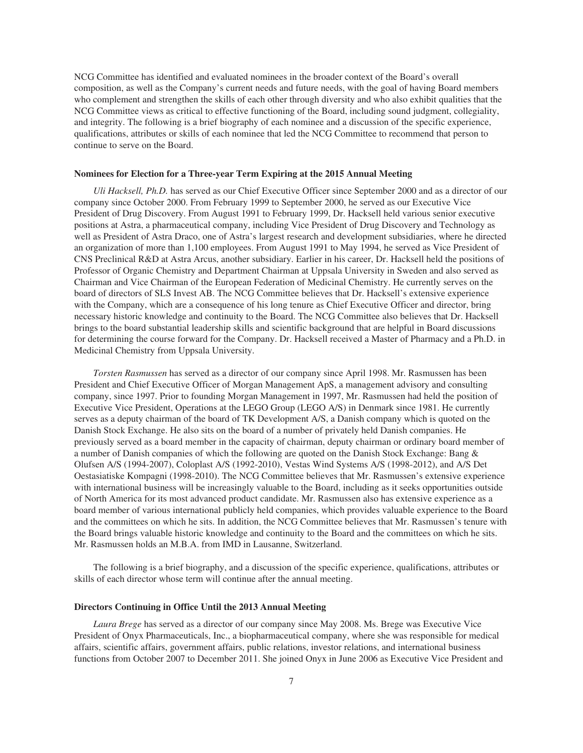NCG Committee has identified and evaluated nominees in the broader context of the Board's overall composition, as well as the Company's current needs and future needs, with the goal of having Board members who complement and strengthen the skills of each other through diversity and who also exhibit qualities that the NCG Committee views as critical to effective functioning of the Board, including sound judgment, collegiality, and integrity. The following is a brief biography of each nominee and a discussion of the specific experience, qualifications, attributes or skills of each nominee that led the NCG Committee to recommend that person to continue to serve on the Board.

#### **Nominees for Election for a Three-year Term Expiring at the 2015 Annual Meeting**

*Uli Hacksell, Ph.D.* has served as our Chief Executive Officer since September 2000 and as a director of our company since October 2000. From February 1999 to September 2000, he served as our Executive Vice President of Drug Discovery. From August 1991 to February 1999, Dr. Hacksell held various senior executive positions at Astra, a pharmaceutical company, including Vice President of Drug Discovery and Technology as well as President of Astra Draco, one of Astra's largest research and development subsidiaries, where he directed an organization of more than 1,100 employees. From August 1991 to May 1994, he served as Vice President of CNS Preclinical R&D at Astra Arcus, another subsidiary. Earlier in his career, Dr. Hacksell held the positions of Professor of Organic Chemistry and Department Chairman at Uppsala University in Sweden and also served as Chairman and Vice Chairman of the European Federation of Medicinal Chemistry. He currently serves on the board of directors of SLS Invest AB. The NCG Committee believes that Dr. Hacksell's extensive experience with the Company, which are a consequence of his long tenure as Chief Executive Officer and director, bring necessary historic knowledge and continuity to the Board. The NCG Committee also believes that Dr. Hacksell brings to the board substantial leadership skills and scientific background that are helpful in Board discussions for determining the course forward for the Company. Dr. Hacksell received a Master of Pharmacy and a Ph.D. in Medicinal Chemistry from Uppsala University.

*Torsten Rasmussen* has served as a director of our company since April 1998. Mr. Rasmussen has been President and Chief Executive Officer of Morgan Management ApS, a management advisory and consulting company, since 1997. Prior to founding Morgan Management in 1997, Mr. Rasmussen had held the position of Executive Vice President, Operations at the LEGO Group (LEGO A/S) in Denmark since 1981. He currently serves as a deputy chairman of the board of TK Development A/S, a Danish company which is quoted on the Danish Stock Exchange. He also sits on the board of a number of privately held Danish companies. He previously served as a board member in the capacity of chairman, deputy chairman or ordinary board member of a number of Danish companies of which the following are quoted on the Danish Stock Exchange: Bang & Olufsen A/S (1994-2007), Coloplast A/S (1992-2010), Vestas Wind Systems A/S (1998-2012), and A/S Det Oestasiatiske Kompagni (1998-2010). The NCG Committee believes that Mr. Rasmussen's extensive experience with international business will be increasingly valuable to the Board, including as it seeks opportunities outside of North America for its most advanced product candidate. Mr. Rasmussen also has extensive experience as a board member of various international publicly held companies, which provides valuable experience to the Board and the committees on which he sits. In addition, the NCG Committee believes that Mr. Rasmussen's tenure with the Board brings valuable historic knowledge and continuity to the Board and the committees on which he sits. Mr. Rasmussen holds an M.B.A. from IMD in Lausanne, Switzerland.

The following is a brief biography, and a discussion of the specific experience, qualifications, attributes or skills of each director whose term will continue after the annual meeting.

## **Directors Continuing in Office Until the 2013 Annual Meeting**

*Laura Brege* has served as a director of our company since May 2008. Ms. Brege was Executive Vice President of Onyx Pharmaceuticals, Inc., a biopharmaceutical company, where she was responsible for medical affairs, scientific affairs, government affairs, public relations, investor relations, and international business functions from October 2007 to December 2011. She joined Onyx in June 2006 as Executive Vice President and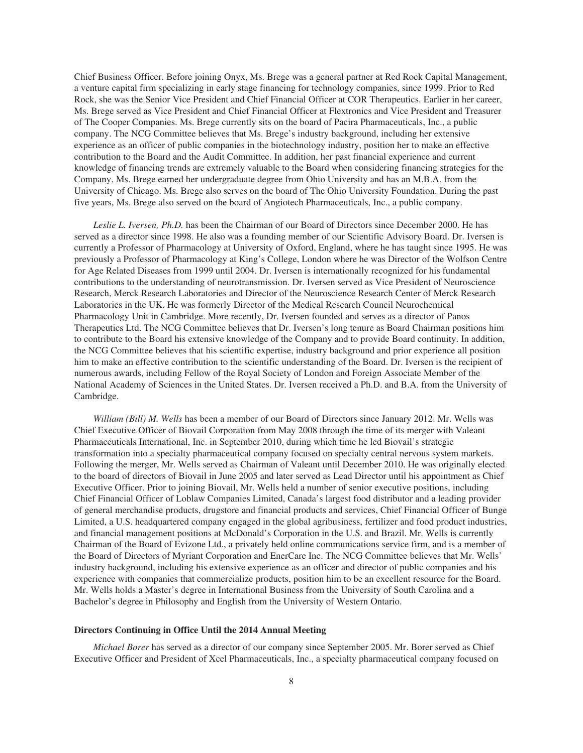Chief Business Officer. Before joining Onyx, Ms. Brege was a general partner at Red Rock Capital Management, a venture capital firm specializing in early stage financing for technology companies, since 1999. Prior to Red Rock, she was the Senior Vice President and Chief Financial Officer at COR Therapeutics. Earlier in her career, Ms. Brege served as Vice President and Chief Financial Officer at Flextronics and Vice President and Treasurer of The Cooper Companies. Ms. Brege currently sits on the board of Pacira Pharmaceuticals, Inc., a public company. The NCG Committee believes that Ms. Brege's industry background, including her extensive experience as an officer of public companies in the biotechnology industry, position her to make an effective contribution to the Board and the Audit Committee. In addition, her past financial experience and current knowledge of financing trends are extremely valuable to the Board when considering financing strategies for the Company. Ms. Brege earned her undergraduate degree from Ohio University and has an M.B.A. from the University of Chicago. Ms. Brege also serves on the board of The Ohio University Foundation. During the past five years, Ms. Brege also served on the board of Angiotech Pharmaceuticals, Inc., a public company.

*Leslie L. Iversen, Ph.D.* has been the Chairman of our Board of Directors since December 2000. He has served as a director since 1998. He also was a founding member of our Scientific Advisory Board. Dr. Iversen is currently a Professor of Pharmacology at University of Oxford, England, where he has taught since 1995. He was previously a Professor of Pharmacology at King's College, London where he was Director of the Wolfson Centre for Age Related Diseases from 1999 until 2004. Dr. Iversen is internationally recognized for his fundamental contributions to the understanding of neurotransmission. Dr. Iversen served as Vice President of Neuroscience Research, Merck Research Laboratories and Director of the Neuroscience Research Center of Merck Research Laboratories in the UK. He was formerly Director of the Medical Research Council Neurochemical Pharmacology Unit in Cambridge. More recently, Dr. Iversen founded and serves as a director of Panos Therapeutics Ltd. The NCG Committee believes that Dr. Iversen's long tenure as Board Chairman positions him to contribute to the Board his extensive knowledge of the Company and to provide Board continuity. In addition, the NCG Committee believes that his scientific expertise, industry background and prior experience all position him to make an effective contribution to the scientific understanding of the Board. Dr. Iversen is the recipient of numerous awards, including Fellow of the Royal Society of London and Foreign Associate Member of the National Academy of Sciences in the United States. Dr. Iversen received a Ph.D. and B.A. from the University of Cambridge.

*William (Bill) M. Wells* has been a member of our Board of Directors since January 2012. Mr. Wells was Chief Executive Officer of Biovail Corporation from May 2008 through the time of its merger with Valeant Pharmaceuticals International, Inc. in September 2010, during which time he led Biovail's strategic transformation into a specialty pharmaceutical company focused on specialty central nervous system markets. Following the merger, Mr. Wells served as Chairman of Valeant until December 2010. He was originally elected to the board of directors of Biovail in June 2005 and later served as Lead Director until his appointment as Chief Executive Officer. Prior to joining Biovail, Mr. Wells held a number of senior executive positions, including Chief Financial Officer of Loblaw Companies Limited, Canada's largest food distributor and a leading provider of general merchandise products, drugstore and financial products and services, Chief Financial Officer of Bunge Limited, a U.S. headquartered company engaged in the global agribusiness, fertilizer and food product industries, and financial management positions at McDonald's Corporation in the U.S. and Brazil. Mr. Wells is currently Chairman of the Board of Evizone Ltd., a privately held online communications service firm, and is a member of the Board of Directors of Myriant Corporation and EnerCare Inc. The NCG Committee believes that Mr. Wells' industry background, including his extensive experience as an officer and director of public companies and his experience with companies that commercialize products, position him to be an excellent resource for the Board. Mr. Wells holds a Master's degree in International Business from the University of South Carolina and a Bachelor's degree in Philosophy and English from the University of Western Ontario.

### **Directors Continuing in Office Until the 2014 Annual Meeting**

*Michael Borer* has served as a director of our company since September 2005. Mr. Borer served as Chief Executive Officer and President of Xcel Pharmaceuticals, Inc., a specialty pharmaceutical company focused on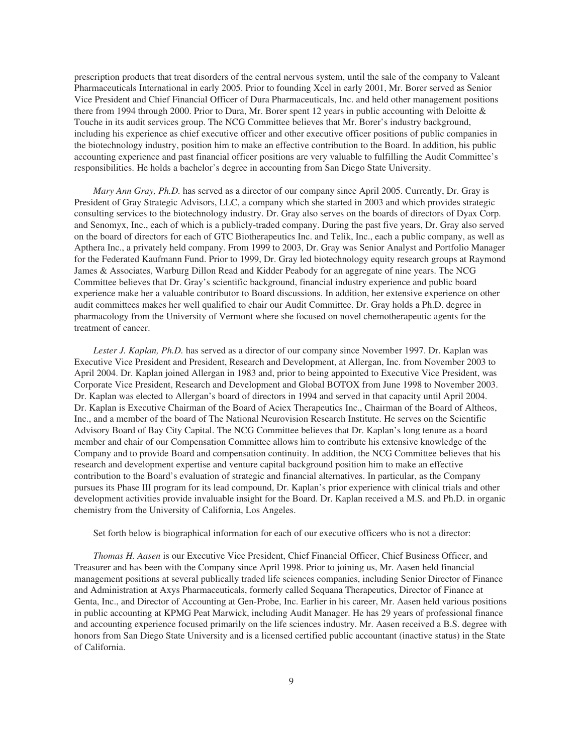prescription products that treat disorders of the central nervous system, until the sale of the company to Valeant Pharmaceuticals International in early 2005. Prior to founding Xcel in early 2001, Mr. Borer served as Senior Vice President and Chief Financial Officer of Dura Pharmaceuticals, Inc. and held other management positions there from 1994 through 2000. Prior to Dura, Mr. Borer spent 12 years in public accounting with Deloitte & Touche in its audit services group. The NCG Committee believes that Mr. Borer's industry background, including his experience as chief executive officer and other executive officer positions of public companies in the biotechnology industry, position him to make an effective contribution to the Board. In addition, his public accounting experience and past financial officer positions are very valuable to fulfilling the Audit Committee's responsibilities. He holds a bachelor's degree in accounting from San Diego State University.

*Mary Ann Gray, Ph.D.* has served as a director of our company since April 2005. Currently, Dr. Gray is President of Gray Strategic Advisors, LLC, a company which she started in 2003 and which provides strategic consulting services to the biotechnology industry. Dr. Gray also serves on the boards of directors of Dyax Corp. and Senomyx, Inc., each of which is a publicly-traded company. During the past five years, Dr. Gray also served on the board of directors for each of GTC Biotherapeutics Inc. and Telik, Inc., each a public company, as well as Apthera Inc., a privately held company. From 1999 to 2003, Dr. Gray was Senior Analyst and Portfolio Manager for the Federated Kaufmann Fund. Prior to 1999, Dr. Gray led biotechnology equity research groups at Raymond James & Associates, Warburg Dillon Read and Kidder Peabody for an aggregate of nine years. The NCG Committee believes that Dr. Gray's scientific background, financial industry experience and public board experience make her a valuable contributor to Board discussions. In addition, her extensive experience on other audit committees makes her well qualified to chair our Audit Committee. Dr. Gray holds a Ph.D. degree in pharmacology from the University of Vermont where she focused on novel chemotherapeutic agents for the treatment of cancer.

*Lester J. Kaplan, Ph.D.* has served as a director of our company since November 1997. Dr. Kaplan was Executive Vice President and President, Research and Development, at Allergan, Inc. from November 2003 to April 2004. Dr. Kaplan joined Allergan in 1983 and, prior to being appointed to Executive Vice President, was Corporate Vice President, Research and Development and Global BOTOX from June 1998 to November 2003. Dr. Kaplan was elected to Allergan's board of directors in 1994 and served in that capacity until April 2004. Dr. Kaplan is Executive Chairman of the Board of Aciex Therapeutics Inc., Chairman of the Board of Altheos, Inc., and a member of the board of The National Neurovision Research Institute. He serves on the Scientific Advisory Board of Bay City Capital. The NCG Committee believes that Dr. Kaplan's long tenure as a board member and chair of our Compensation Committee allows him to contribute his extensive knowledge of the Company and to provide Board and compensation continuity. In addition, the NCG Committee believes that his research and development expertise and venture capital background position him to make an effective contribution to the Board's evaluation of strategic and financial alternatives. In particular, as the Company pursues its Phase III program for its lead compound, Dr. Kaplan's prior experience with clinical trials and other development activities provide invaluable insight for the Board. Dr. Kaplan received a M.S. and Ph.D. in organic chemistry from the University of California, Los Angeles.

Set forth below is biographical information for each of our executive officers who is not a director:

*Thomas H. Aasen* is our Executive Vice President, Chief Financial Officer, Chief Business Officer, and Treasurer and has been with the Company since April 1998. Prior to joining us, Mr. Aasen held financial management positions at several publically traded life sciences companies, including Senior Director of Finance and Administration at Axys Pharmaceuticals, formerly called Sequana Therapeutics, Director of Finance at Genta, Inc., and Director of Accounting at Gen-Probe, Inc. Earlier in his career, Mr. Aasen held various positions in public accounting at KPMG Peat Marwick, including Audit Manager. He has 29 years of professional finance and accounting experience focused primarily on the life sciences industry. Mr. Aasen received a B.S. degree with honors from San Diego State University and is a licensed certified public accountant (inactive status) in the State of California.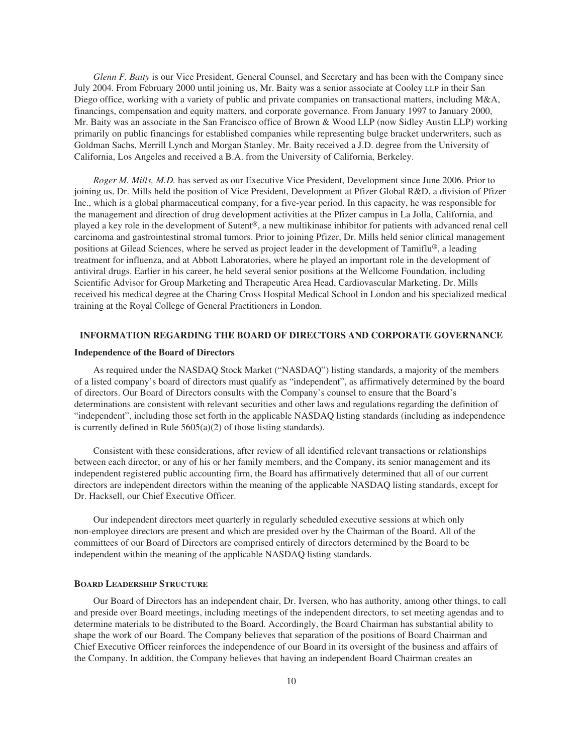*Glenn F. Baity* is our Vice President, General Counsel, and Secretary and has been with the Company since July 2004. From February 2000 until joining us, Mr. Baity was a senior associate at Cooley LLP in their San Diego office, working with a variety of public and private companies on transactional matters, including M&A, financings, compensation and equity matters, and corporate governance. From January 1997 to January 2000, Mr. Baity was an associate in the San Francisco office of Brown & Wood LLP (now Sidley Austin LLP) working primarily on public financings for established companies while representing bulge bracket underwriters, such as Goldman Sachs, Merrill Lynch and Morgan Stanley. Mr. Baity received a J.D. degree from the University of California, Los Angeles and received a B.A. from the University of California, Berkeley.

*Roger M. Mills, M.D.* has served as our Executive Vice President, Development since June 2006. Prior to joining us, Dr. Mills held the position of Vice President, Development at Pfizer Global R&D, a division of Pfizer Inc., which is a global pharmaceutical company, for a five-year period. In this capacity, he was responsible for the management and direction of drug development activities at the Pfizer campus in La Jolla, California, and played a key role in the development of Sutent®, a new multikinase inhibitor for patients with advanced renal cell carcinoma and gastrointestinal stromal tumors. Prior to joining Pfizer, Dr. Mills held senior clinical management positions at Gilead Sciences, where he served as project leader in the development of Tamiflu®, a leading treatment for influenza, and at Abbott Laboratories, where he played an important role in the development of antiviral drugs. Earlier in his career, he held several senior positions at the Wellcome Foundation, including Scientific Advisor for Group Marketing and Therapeutic Area Head, Cardiovascular Marketing. Dr. Mills received his medical degree at the Charing Cross Hospital Medical School in London and his specialized medical training at the Royal College of General Practitioners in London.

#### **INFORMATION REGARDING THE BOARD OF DIRECTORS AND CORPORATE GOVERNANCE**

#### **Independence of the Board of Directors**

As required under the NASDAQ Stock Market ("NASDAQ") listing standards, a majority of the members of a listed company's board of directors must qualify as "independent", as affirmatively determined by the board of directors. Our Board of Directors consults with the Company's counsel to ensure that the Board's determinations are consistent with relevant securities and other laws and regulations regarding the definition of "independent", including those set forth in the applicable NASDAQ listing standards (including as independence is currently defined in Rule  $5605(a)(2)$  of those listing standards).

Consistent with these considerations, after review of all identified relevant transactions or relationships between each director, or any of his or her family members, and the Company, its senior management and its independent registered public accounting firm, the Board has affirmatively determined that all of our current directors are independent directors within the meaning of the applicable NASDAQ listing standards, except for Dr. Hacksell, our Chief Executive Officer.

Our independent directors meet quarterly in regularly scheduled executive sessions at which only non-employee directors are present and which are presided over by the Chairman of the Board. All of the committees of our Board of Directors are comprised entirely of directors determined by the Board to be independent within the meaning of the applicable NASDAQ listing standards.

#### **BOARD LEADERSHIP STRUCTURE**

Our Board of Directors has an independent chair, Dr. Iversen, who has authority, among other things, to call and preside over Board meetings, including meetings of the independent directors, to set meeting agendas and to determine materials to be distributed to the Board. Accordingly, the Board Chairman has substantial ability to shape the work of our Board. The Company believes that separation of the positions of Board Chairman and Chief Executive Officer reinforces the independence of our Board in its oversight of the business and affairs of the Company. In addition, the Company believes that having an independent Board Chairman creates an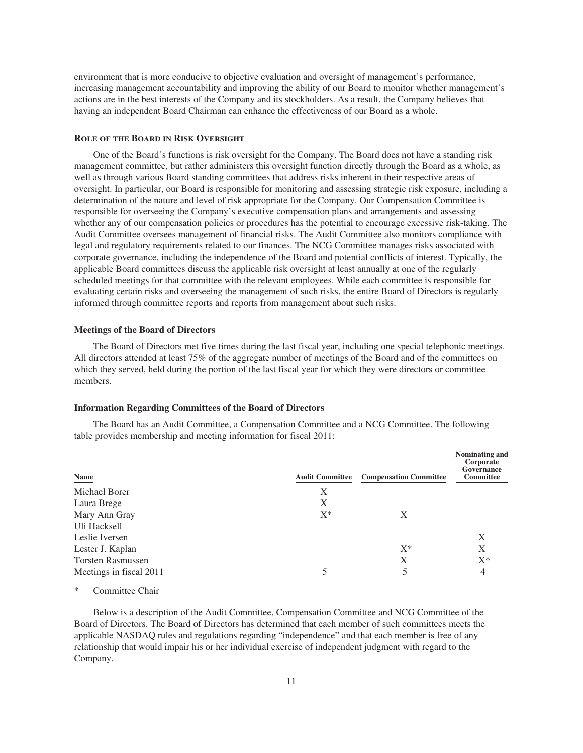environment that is more conducive to objective evaluation and oversight of management's performance, increasing management accountability and improving the ability of our Board to monitor whether management's actions are in the best interests of the Company and its stockholders. As a result, the Company believes that having an independent Board Chairman can enhance the effectiveness of our Board as a whole.

#### **ROLE OF THE BOARD IN RISK OVERSIGHT**

One of the Board's functions is risk oversight for the Company. The Board does not have a standing risk management committee, but rather administers this oversight function directly through the Board as a whole, as well as through various Board standing committees that address risks inherent in their respective areas of oversight. In particular, our Board is responsible for monitoring and assessing strategic risk exposure, including a determination of the nature and level of risk appropriate for the Company. Our Compensation Committee is responsible for overseeing the Company's executive compensation plans and arrangements and assessing whether any of our compensation policies or procedures has the potential to encourage excessive risk-taking. The Audit Committee oversees management of financial risks. The Audit Committee also monitors compliance with legal and regulatory requirements related to our finances. The NCG Committee manages risks associated with corporate governance, including the independence of the Board and potential conflicts of interest. Typically, the applicable Board committees discuss the applicable risk oversight at least annually at one of the regularly scheduled meetings for that committee with the relevant employees. While each committee is responsible for evaluating certain risks and overseeing the management of such risks, the entire Board of Directors is regularly informed through committee reports and reports from management about such risks.

## **Meetings of the Board of Directors**

The Board of Directors met five times during the last fiscal year, including one special telephonic meetings. All directors attended at least 75% of the aggregate number of meetings of the Board and of the committees on which they served, held during the portion of the last fiscal year for which they were directors or committee members.

### **Information Regarding Committees of the Board of Directors**

The Board has an Audit Committee, a Compensation Committee and a NCG Committee. The following table provides membership and meeting information for fiscal 2011:

| Name                     | <b>Audit Committee</b> | <b>Compensation Committee</b> | <b>Nominating and</b><br>Corporate<br>Governance<br>Committee |
|--------------------------|------------------------|-------------------------------|---------------------------------------------------------------|
| Michael Borer            | Χ                      |                               |                                                               |
| Laura Brege              | X                      |                               |                                                               |
| Mary Ann Gray            | $X^*$                  | X                             |                                                               |
| Uli Hacksell             |                        |                               |                                                               |
| Leslie Iversen           |                        |                               | X                                                             |
| Lester J. Kaplan         |                        | $X^*$                         | Χ                                                             |
| <b>Torsten Rasmussen</b> |                        | X                             | $X^*$                                                         |
| Meetings in fiscal 2011  |                        |                               | 4                                                             |
|                          |                        |                               |                                                               |

\* Committee Chair

Below is a description of the Audit Committee, Compensation Committee and NCG Committee of the Board of Directors. The Board of Directors has determined that each member of such committees meets the applicable NASDAQ rules and regulations regarding "independence" and that each member is free of any relationship that would impair his or her individual exercise of independent judgment with regard to the Company.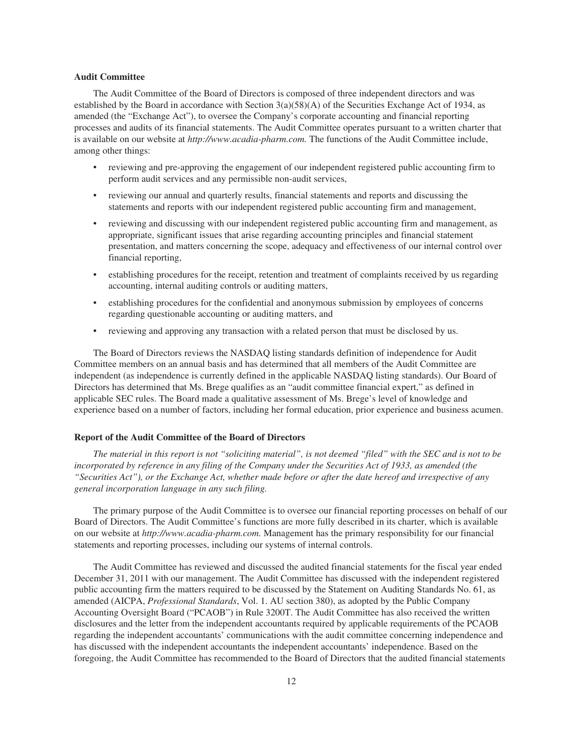#### **Audit Committee**

The Audit Committee of the Board of Directors is composed of three independent directors and was established by the Board in accordance with Section 3(a)(58)(A) of the Securities Exchange Act of 1934, as amended (the "Exchange Act"), to oversee the Company's corporate accounting and financial reporting processes and audits of its financial statements. The Audit Committee operates pursuant to a written charter that is available on our website at *http://www.acadia-pharm.com.* The functions of the Audit Committee include, among other things:

- reviewing and pre-approving the engagement of our independent registered public accounting firm to perform audit services and any permissible non-audit services,
- reviewing our annual and quarterly results, financial statements and reports and discussing the statements and reports with our independent registered public accounting firm and management,
- reviewing and discussing with our independent registered public accounting firm and management, as appropriate, significant issues that arise regarding accounting principles and financial statement presentation, and matters concerning the scope, adequacy and effectiveness of our internal control over financial reporting,
- establishing procedures for the receipt, retention and treatment of complaints received by us regarding accounting, internal auditing controls or auditing matters,
- establishing procedures for the confidential and anonymous submission by employees of concerns regarding questionable accounting or auditing matters, and
- reviewing and approving any transaction with a related person that must be disclosed by us.

The Board of Directors reviews the NASDAQ listing standards definition of independence for Audit Committee members on an annual basis and has determined that all members of the Audit Committee are independent (as independence is currently defined in the applicable NASDAQ listing standards). Our Board of Directors has determined that Ms. Brege qualifies as an "audit committee financial expert," as defined in applicable SEC rules. The Board made a qualitative assessment of Ms. Brege's level of knowledge and experience based on a number of factors, including her formal education, prior experience and business acumen.

## **Report of the Audit Committee of the Board of Directors**

*The material in this report is not "soliciting material", is not deemed "filed" with the SEC and is not to be incorporated by reference in any filing of the Company under the Securities Act of 1933, as amended (the "Securities Act"), or the Exchange Act, whether made before or after the date hereof and irrespective of any general incorporation language in any such filing.*

The primary purpose of the Audit Committee is to oversee our financial reporting processes on behalf of our Board of Directors. The Audit Committee's functions are more fully described in its charter, which is available on our website at *http://www.acadia-pharm.com.* Management has the primary responsibility for our financial statements and reporting processes, including our systems of internal controls.

The Audit Committee has reviewed and discussed the audited financial statements for the fiscal year ended December 31, 2011 with our management. The Audit Committee has discussed with the independent registered public accounting firm the matters required to be discussed by the Statement on Auditing Standards No. 61, as amended (AICPA, *Professional Standards*, Vol. 1. AU section 380), as adopted by the Public Company Accounting Oversight Board ("PCAOB") in Rule 3200T. The Audit Committee has also received the written disclosures and the letter from the independent accountants required by applicable requirements of the PCAOB regarding the independent accountants' communications with the audit committee concerning independence and has discussed with the independent accountants the independent accountants' independence. Based on the foregoing, the Audit Committee has recommended to the Board of Directors that the audited financial statements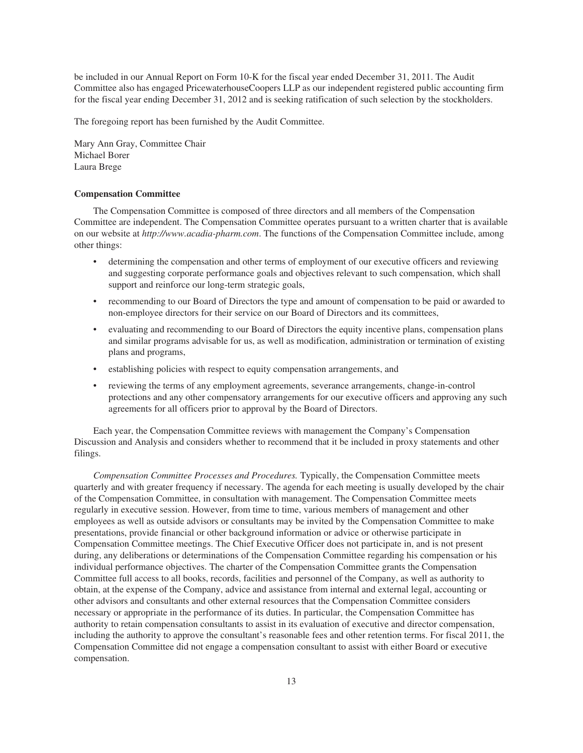be included in our Annual Report on Form 10-K for the fiscal year ended December 31, 2011. The Audit Committee also has engaged PricewaterhouseCoopers LLP as our independent registered public accounting firm for the fiscal year ending December 31, 2012 and is seeking ratification of such selection by the stockholders.

The foregoing report has been furnished by the Audit Committee.

Mary Ann Gray, Committee Chair Michael Borer Laura Brege

### **Compensation Committee**

The Compensation Committee is composed of three directors and all members of the Compensation Committee are independent. The Compensation Committee operates pursuant to a written charter that is available on our website at *http://www.acadia-pharm.com*. The functions of the Compensation Committee include, among other things:

- determining the compensation and other terms of employment of our executive officers and reviewing and suggesting corporate performance goals and objectives relevant to such compensation, which shall support and reinforce our long-term strategic goals,
- recommending to our Board of Directors the type and amount of compensation to be paid or awarded to non-employee directors for their service on our Board of Directors and its committees,
- evaluating and recommending to our Board of Directors the equity incentive plans, compensation plans and similar programs advisable for us, as well as modification, administration or termination of existing plans and programs,
- establishing policies with respect to equity compensation arrangements, and
- reviewing the terms of any employment agreements, severance arrangements, change-in-control protections and any other compensatory arrangements for our executive officers and approving any such agreements for all officers prior to approval by the Board of Directors.

Each year, the Compensation Committee reviews with management the Company's Compensation Discussion and Analysis and considers whether to recommend that it be included in proxy statements and other filings.

*Compensation Committee Processes and Procedures.* Typically, the Compensation Committee meets quarterly and with greater frequency if necessary. The agenda for each meeting is usually developed by the chair of the Compensation Committee, in consultation with management. The Compensation Committee meets regularly in executive session. However, from time to time, various members of management and other employees as well as outside advisors or consultants may be invited by the Compensation Committee to make presentations, provide financial or other background information or advice or otherwise participate in Compensation Committee meetings. The Chief Executive Officer does not participate in, and is not present during, any deliberations or determinations of the Compensation Committee regarding his compensation or his individual performance objectives. The charter of the Compensation Committee grants the Compensation Committee full access to all books, records, facilities and personnel of the Company, as well as authority to obtain, at the expense of the Company, advice and assistance from internal and external legal, accounting or other advisors and consultants and other external resources that the Compensation Committee considers necessary or appropriate in the performance of its duties. In particular, the Compensation Committee has authority to retain compensation consultants to assist in its evaluation of executive and director compensation, including the authority to approve the consultant's reasonable fees and other retention terms. For fiscal 2011, the Compensation Committee did not engage a compensation consultant to assist with either Board or executive compensation.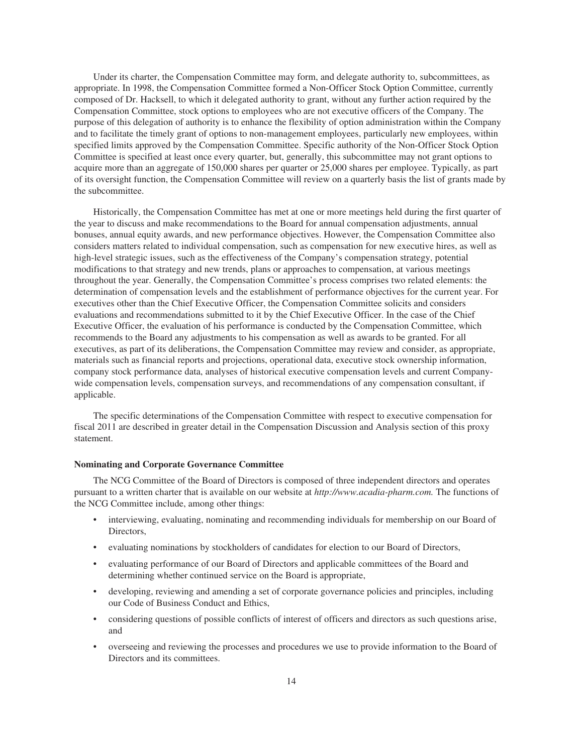Under its charter, the Compensation Committee may form, and delegate authority to, subcommittees, as appropriate. In 1998, the Compensation Committee formed a Non-Officer Stock Option Committee, currently composed of Dr. Hacksell, to which it delegated authority to grant, without any further action required by the Compensation Committee, stock options to employees who are not executive officers of the Company. The purpose of this delegation of authority is to enhance the flexibility of option administration within the Company and to facilitate the timely grant of options to non-management employees, particularly new employees, within specified limits approved by the Compensation Committee. Specific authority of the Non-Officer Stock Option Committee is specified at least once every quarter, but, generally, this subcommittee may not grant options to acquire more than an aggregate of 150,000 shares per quarter or 25,000 shares per employee. Typically, as part of its oversight function, the Compensation Committee will review on a quarterly basis the list of grants made by the subcommittee.

Historically, the Compensation Committee has met at one or more meetings held during the first quarter of the year to discuss and make recommendations to the Board for annual compensation adjustments, annual bonuses, annual equity awards, and new performance objectives. However, the Compensation Committee also considers matters related to individual compensation, such as compensation for new executive hires, as well as high-level strategic issues, such as the effectiveness of the Company's compensation strategy, potential modifications to that strategy and new trends, plans or approaches to compensation, at various meetings throughout the year. Generally, the Compensation Committee's process comprises two related elements: the determination of compensation levels and the establishment of performance objectives for the current year. For executives other than the Chief Executive Officer, the Compensation Committee solicits and considers evaluations and recommendations submitted to it by the Chief Executive Officer. In the case of the Chief Executive Officer, the evaluation of his performance is conducted by the Compensation Committee, which recommends to the Board any adjustments to his compensation as well as awards to be granted. For all executives, as part of its deliberations, the Compensation Committee may review and consider, as appropriate, materials such as financial reports and projections, operational data, executive stock ownership information, company stock performance data, analyses of historical executive compensation levels and current Companywide compensation levels, compensation surveys, and recommendations of any compensation consultant, if applicable.

The specific determinations of the Compensation Committee with respect to executive compensation for fiscal 2011 are described in greater detail in the Compensation Discussion and Analysis section of this proxy statement.

#### **Nominating and Corporate Governance Committee**

The NCG Committee of the Board of Directors is composed of three independent directors and operates pursuant to a written charter that is available on our website at *http://www.acadia-pharm.com.* The functions of the NCG Committee include, among other things:

- interviewing, evaluating, nominating and recommending individuals for membership on our Board of Directors,
- evaluating nominations by stockholders of candidates for election to our Board of Directors,
- evaluating performance of our Board of Directors and applicable committees of the Board and determining whether continued service on the Board is appropriate,
- developing, reviewing and amending a set of corporate governance policies and principles, including our Code of Business Conduct and Ethics,
- considering questions of possible conflicts of interest of officers and directors as such questions arise, and
- overseeing and reviewing the processes and procedures we use to provide information to the Board of Directors and its committees.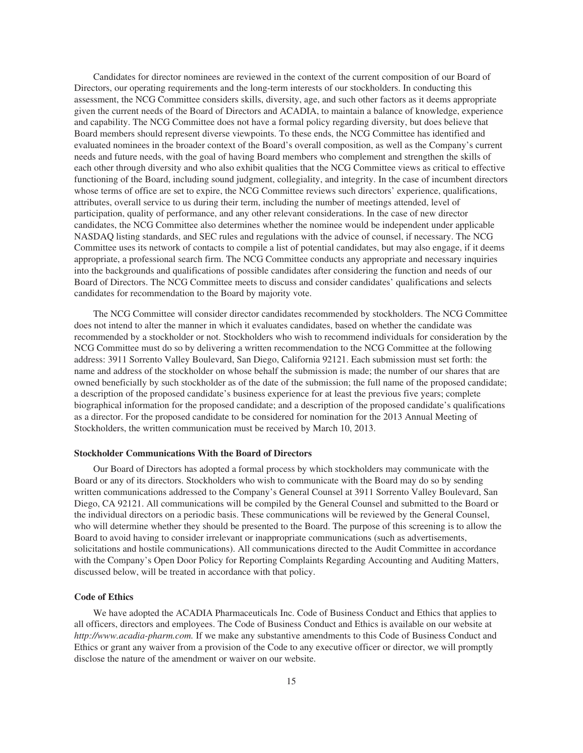Candidates for director nominees are reviewed in the context of the current composition of our Board of Directors, our operating requirements and the long-term interests of our stockholders. In conducting this assessment, the NCG Committee considers skills, diversity, age, and such other factors as it deems appropriate given the current needs of the Board of Directors and ACADIA, to maintain a balance of knowledge, experience and capability. The NCG Committee does not have a formal policy regarding diversity, but does believe that Board members should represent diverse viewpoints. To these ends, the NCG Committee has identified and evaluated nominees in the broader context of the Board's overall composition, as well as the Company's current needs and future needs, with the goal of having Board members who complement and strengthen the skills of each other through diversity and who also exhibit qualities that the NCG Committee views as critical to effective functioning of the Board, including sound judgment, collegiality, and integrity. In the case of incumbent directors whose terms of office are set to expire, the NCG Committee reviews such directors' experience, qualifications, attributes, overall service to us during their term, including the number of meetings attended, level of participation, quality of performance, and any other relevant considerations. In the case of new director candidates, the NCG Committee also determines whether the nominee would be independent under applicable NASDAQ listing standards, and SEC rules and regulations with the advice of counsel, if necessary. The NCG Committee uses its network of contacts to compile a list of potential candidates, but may also engage, if it deems appropriate, a professional search firm. The NCG Committee conducts any appropriate and necessary inquiries into the backgrounds and qualifications of possible candidates after considering the function and needs of our Board of Directors. The NCG Committee meets to discuss and consider candidates' qualifications and selects candidates for recommendation to the Board by majority vote.

The NCG Committee will consider director candidates recommended by stockholders. The NCG Committee does not intend to alter the manner in which it evaluates candidates, based on whether the candidate was recommended by a stockholder or not. Stockholders who wish to recommend individuals for consideration by the NCG Committee must do so by delivering a written recommendation to the NCG Committee at the following address: 3911 Sorrento Valley Boulevard, San Diego, California 92121. Each submission must set forth: the name and address of the stockholder on whose behalf the submission is made; the number of our shares that are owned beneficially by such stockholder as of the date of the submission; the full name of the proposed candidate; a description of the proposed candidate's business experience for at least the previous five years; complete biographical information for the proposed candidate; and a description of the proposed candidate's qualifications as a director. For the proposed candidate to be considered for nomination for the 2013 Annual Meeting of Stockholders, the written communication must be received by March 10, 2013.

### **Stockholder Communications With the Board of Directors**

Our Board of Directors has adopted a formal process by which stockholders may communicate with the Board or any of its directors. Stockholders who wish to communicate with the Board may do so by sending written communications addressed to the Company's General Counsel at 3911 Sorrento Valley Boulevard, San Diego, CA 92121. All communications will be compiled by the General Counsel and submitted to the Board or the individual directors on a periodic basis. These communications will be reviewed by the General Counsel, who will determine whether they should be presented to the Board. The purpose of this screening is to allow the Board to avoid having to consider irrelevant or inappropriate communications (such as advertisements, solicitations and hostile communications). All communications directed to the Audit Committee in accordance with the Company's Open Door Policy for Reporting Complaints Regarding Accounting and Auditing Matters, discussed below, will be treated in accordance with that policy.

#### **Code of Ethics**

We have adopted the ACADIA Pharmaceuticals Inc. Code of Business Conduct and Ethics that applies to all officers, directors and employees. The Code of Business Conduct and Ethics is available on our website at *http://www.acadia-pharm.com.* If we make any substantive amendments to this Code of Business Conduct and Ethics or grant any waiver from a provision of the Code to any executive officer or director, we will promptly disclose the nature of the amendment or waiver on our website.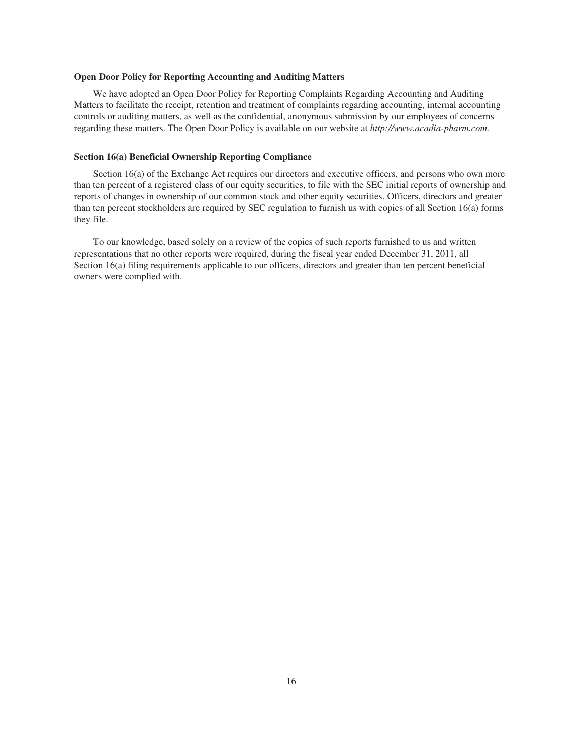#### **Open Door Policy for Reporting Accounting and Auditing Matters**

We have adopted an Open Door Policy for Reporting Complaints Regarding Accounting and Auditing Matters to facilitate the receipt, retention and treatment of complaints regarding accounting, internal accounting controls or auditing matters, as well as the confidential, anonymous submission by our employees of concerns regarding these matters. The Open Door Policy is available on our website at *http://www.acadia-pharm.com.*

## **Section 16(a) Beneficial Ownership Reporting Compliance**

Section 16(a) of the Exchange Act requires our directors and executive officers, and persons who own more than ten percent of a registered class of our equity securities, to file with the SEC initial reports of ownership and reports of changes in ownership of our common stock and other equity securities. Officers, directors and greater than ten percent stockholders are required by SEC regulation to furnish us with copies of all Section 16(a) forms they file.

To our knowledge, based solely on a review of the copies of such reports furnished to us and written representations that no other reports were required, during the fiscal year ended December 31, 2011, all Section 16(a) filing requirements applicable to our officers, directors and greater than ten percent beneficial owners were complied with.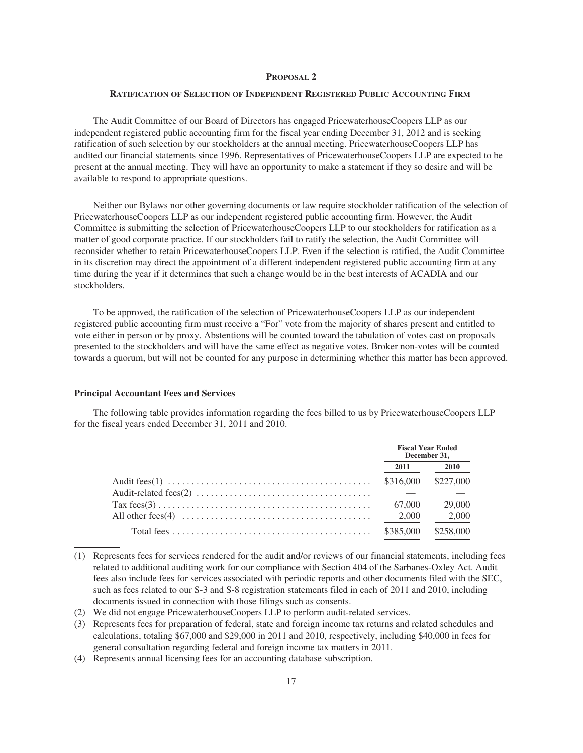### **PROPOSAL 2**

### **RATIFICATION OF SELECTION OF INDEPENDENT REGISTERED PUBLIC ACCOUNTING FIRM**

The Audit Committee of our Board of Directors has engaged PricewaterhouseCoopers LLP as our independent registered public accounting firm for the fiscal year ending December 31, 2012 and is seeking ratification of such selection by our stockholders at the annual meeting. PricewaterhouseCoopers LLP has audited our financial statements since 1996. Representatives of PricewaterhouseCoopers LLP are expected to be present at the annual meeting. They will have an opportunity to make a statement if they so desire and will be available to respond to appropriate questions.

Neither our Bylaws nor other governing documents or law require stockholder ratification of the selection of PricewaterhouseCoopers LLP as our independent registered public accounting firm. However, the Audit Committee is submitting the selection of PricewaterhouseCoopers LLP to our stockholders for ratification as a matter of good corporate practice. If our stockholders fail to ratify the selection, the Audit Committee will reconsider whether to retain PricewaterhouseCoopers LLP. Even if the selection is ratified, the Audit Committee in its discretion may direct the appointment of a different independent registered public accounting firm at any time during the year if it determines that such a change would be in the best interests of ACADIA and our stockholders.

To be approved, the ratification of the selection of PricewaterhouseCoopers LLP as our independent registered public accounting firm must receive a "For" vote from the majority of shares present and entitled to vote either in person or by proxy. Abstentions will be counted toward the tabulation of votes cast on proposals presented to the stockholders and will have the same effect as negative votes. Broker non-votes will be counted towards a quorum, but will not be counted for any purpose in determining whether this matter has been approved.

#### **Principal Accountant Fees and Services**

The following table provides information regarding the fees billed to us by PricewaterhouseCoopers LLP for the fiscal years ended December 31, 2011 and 2010.

|                                                                                                                | <b>Fiscal Year Ended</b><br>December 31, |           |
|----------------------------------------------------------------------------------------------------------------|------------------------------------------|-----------|
|                                                                                                                | 2011                                     | 2010      |
|                                                                                                                | \$316,000                                | \$227,000 |
|                                                                                                                |                                          |           |
| $\text{Tax fees}(3) \dots \dots \dots \dots \dots \dots \dots \dots \dots \dots \dots \dots \dots \dots \dots$ | 67,000                                   | 29,000    |
| All other fees(4) $\dots \dots \dots \dots \dots \dots \dots \dots \dots \dots \dots \dots \dots$              | 2.000                                    | 2,000     |
|                                                                                                                | \$385,000                                | \$258,000 |

<sup>(1)</sup> Represents fees for services rendered for the audit and/or reviews of our financial statements, including fees related to additional auditing work for our compliance with Section 404 of the Sarbanes-Oxley Act. Audit fees also include fees for services associated with periodic reports and other documents filed with the SEC, such as fees related to our S-3 and S-8 registration statements filed in each of 2011 and 2010, including documents issued in connection with those filings such as consents.

<sup>(2)</sup> We did not engage PricewaterhouseCoopers LLP to perform audit-related services.

<sup>(3)</sup> Represents fees for preparation of federal, state and foreign income tax returns and related schedules and calculations, totaling \$67,000 and \$29,000 in 2011 and 2010, respectively, including \$40,000 in fees for general consultation regarding federal and foreign income tax matters in 2011.

<sup>(4)</sup> Represents annual licensing fees for an accounting database subscription.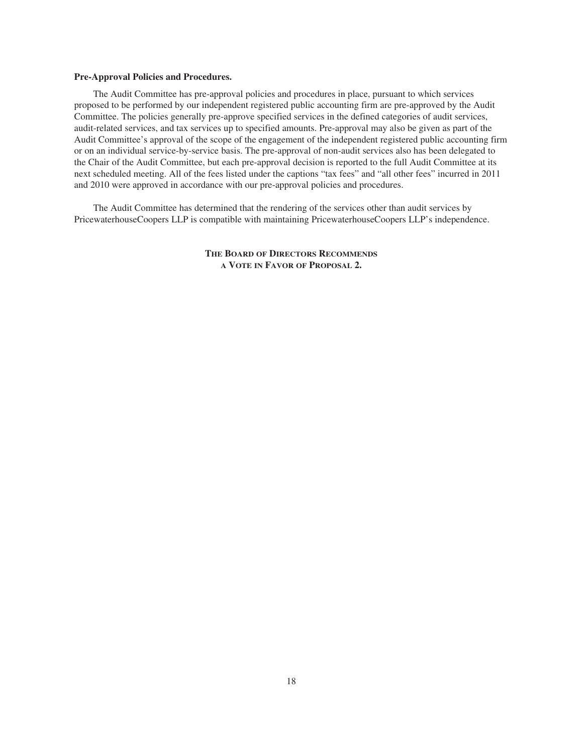### **Pre-Approval Policies and Procedures.**

The Audit Committee has pre-approval policies and procedures in place, pursuant to which services proposed to be performed by our independent registered public accounting firm are pre-approved by the Audit Committee. The policies generally pre-approve specified services in the defined categories of audit services, audit-related services, and tax services up to specified amounts. Pre-approval may also be given as part of the Audit Committee's approval of the scope of the engagement of the independent registered public accounting firm or on an individual service-by-service basis. The pre-approval of non-audit services also has been delegated to the Chair of the Audit Committee, but each pre-approval decision is reported to the full Audit Committee at its next scheduled meeting. All of the fees listed under the captions "tax fees" and "all other fees" incurred in 2011 and 2010 were approved in accordance with our pre-approval policies and procedures.

The Audit Committee has determined that the rendering of the services other than audit services by PricewaterhouseCoopers LLP is compatible with maintaining PricewaterhouseCoopers LLP's independence.

> **THE BOARD OF DIRECTORS RECOMMENDS A VOTE IN FAVOR OF PROPOSAL 2.**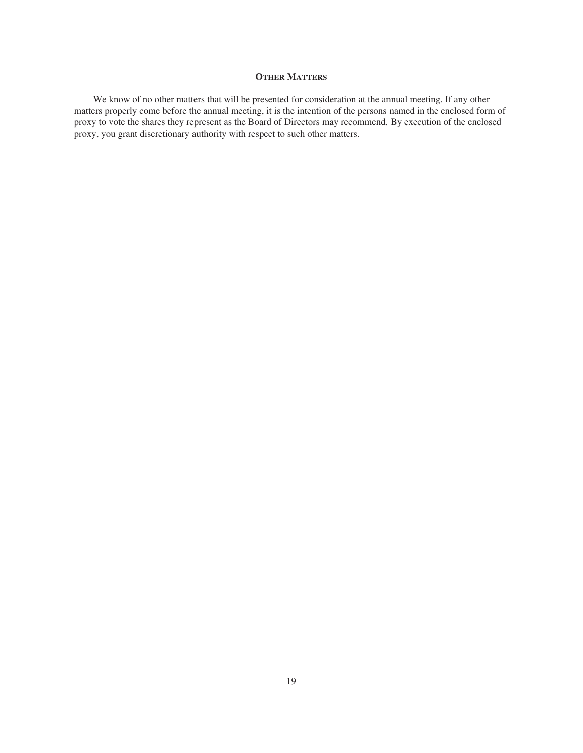## **OTHER MATTERS**

We know of no other matters that will be presented for consideration at the annual meeting. If any other matters properly come before the annual meeting, it is the intention of the persons named in the enclosed form of proxy to vote the shares they represent as the Board of Directors may recommend. By execution of the enclosed proxy, you grant discretionary authority with respect to such other matters.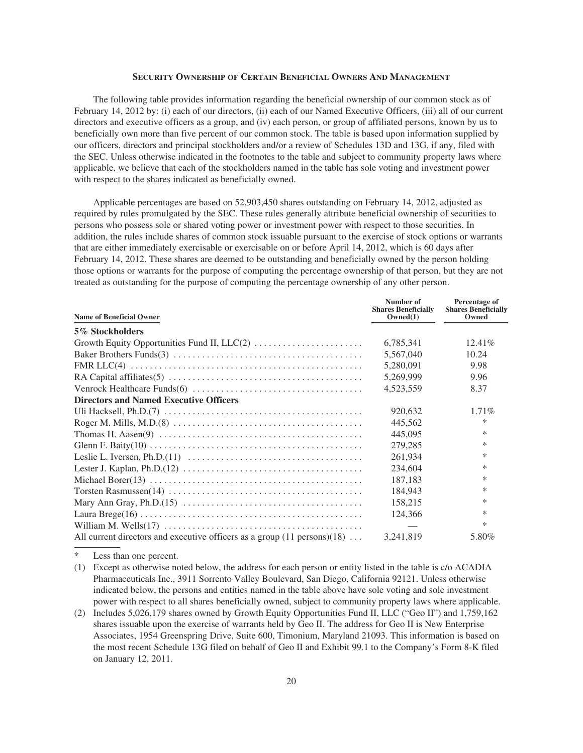## **SECURITY OWNERSHIP OF CERTAIN BENEFICIAL OWNERS AND MANAGEMENT**

The following table provides information regarding the beneficial ownership of our common stock as of February 14, 2012 by: (i) each of our directors, (ii) each of our Named Executive Officers, (iii) all of our current directors and executive officers as a group, and (iv) each person, or group of affiliated persons, known by us to beneficially own more than five percent of our common stock. The table is based upon information supplied by our officers, directors and principal stockholders and/or a review of Schedules 13D and 13G, if any, filed with the SEC. Unless otherwise indicated in the footnotes to the table and subject to community property laws where applicable, we believe that each of the stockholders named in the table has sole voting and investment power with respect to the shares indicated as beneficially owned.

Applicable percentages are based on 52,903,450 shares outstanding on February 14, 2012, adjusted as required by rules promulgated by the SEC. These rules generally attribute beneficial ownership of securities to persons who possess sole or shared voting power or investment power with respect to those securities. In addition, the rules include shares of common stock issuable pursuant to the exercise of stock options or warrants that are either immediately exercisable or exercisable on or before April 14, 2012, which is 60 days after February 14, 2012. These shares are deemed to be outstanding and beneficially owned by the person holding those options or warrants for the purpose of computing the percentage ownership of that person, but they are not treated as outstanding for the purpose of computing the percentage ownership of any other person.

| <b>Name of Beneficial Owner</b>                                                                                | Number of<br><b>Shares Beneficially</b><br>Owned(1) | Percentage of<br><b>Shares Beneficially</b><br>Owned |
|----------------------------------------------------------------------------------------------------------------|-----------------------------------------------------|------------------------------------------------------|
| 5% Stockholders                                                                                                |                                                     |                                                      |
|                                                                                                                | 6,785,341                                           | $12.41\%$                                            |
|                                                                                                                | 5,567,040                                           | 10.24                                                |
|                                                                                                                | 5.280.091                                           | 9.98                                                 |
|                                                                                                                | 5,269,999                                           | 9.96                                                 |
|                                                                                                                | 4.523.559                                           | 8.37                                                 |
| <b>Directors and Named Executive Officers</b>                                                                  |                                                     |                                                      |
|                                                                                                                | 920.632                                             | $1.71\%$                                             |
|                                                                                                                | 445,562                                             | $\ast$                                               |
|                                                                                                                | 445,095                                             | *                                                    |
| Glenn F. Baity(10) $\dots \dots \dots \dots \dots \dots \dots \dots \dots \dots \dots \dots \dots \dots \dots$ | 279,285                                             | $\ast$                                               |
|                                                                                                                | 261,934                                             | ∗                                                    |
|                                                                                                                | 234,604                                             | $\ast$                                               |
|                                                                                                                | 187,183                                             | ∗                                                    |
|                                                                                                                | 184,943                                             | $\ast$                                               |
|                                                                                                                | 158,215                                             | *                                                    |
|                                                                                                                | 124,366                                             | $\ast$                                               |
|                                                                                                                |                                                     | $\ast$                                               |
| All current directors and executive officers as a group $(11 \text{ persons})(18) \dots$                       | 3,241,819                                           | 5.80%                                                |

Less than one percent.

<sup>(1)</sup> Except as otherwise noted below, the address for each person or entity listed in the table is c/o ACADIA Pharmaceuticals Inc., 3911 Sorrento Valley Boulevard, San Diego, California 92121. Unless otherwise indicated below, the persons and entities named in the table above have sole voting and sole investment power with respect to all shares beneficially owned, subject to community property laws where applicable.

<sup>(2)</sup> Includes 5,026,179 shares owned by Growth Equity Opportunities Fund II, LLC ("Geo II") and 1,759,162 shares issuable upon the exercise of warrants held by Geo II. The address for Geo II is New Enterprise Associates, 1954 Greenspring Drive, Suite 600, Timonium, Maryland 21093. This information is based on the most recent Schedule 13G filed on behalf of Geo II and Exhibit 99.1 to the Company's Form 8-K filed on January 12, 2011.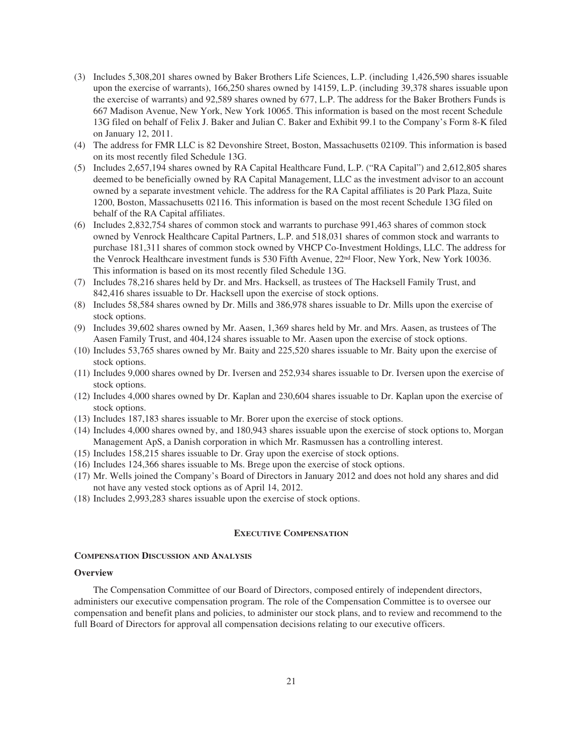- (3) Includes 5,308,201 shares owned by Baker Brothers Life Sciences, L.P. (including 1,426,590 shares issuable upon the exercise of warrants), 166,250 shares owned by 14159, L.P. (including 39,378 shares issuable upon the exercise of warrants) and 92,589 shares owned by 677, L.P. The address for the Baker Brothers Funds is 667 Madison Avenue, New York, New York 10065. This information is based on the most recent Schedule 13G filed on behalf of Felix J. Baker and Julian C. Baker and Exhibit 99.1 to the Company's Form 8-K filed on January 12, 2011.
- (4) The address for FMR LLC is 82 Devonshire Street, Boston, Massachusetts 02109. This information is based on its most recently filed Schedule 13G.
- (5) Includes 2,657,194 shares owned by RA Capital Healthcare Fund, L.P. ("RA Capital") and 2,612,805 shares deemed to be beneficially owned by RA Capital Management, LLC as the investment advisor to an account owned by a separate investment vehicle. The address for the RA Capital affiliates is 20 Park Plaza, Suite 1200, Boston, Massachusetts 02116. This information is based on the most recent Schedule 13G filed on behalf of the RA Capital affiliates.
- (6) Includes 2,832,754 shares of common stock and warrants to purchase 991,463 shares of common stock owned by Venrock Healthcare Capital Partners, L.P. and 518,031 shares of common stock and warrants to purchase 181,311 shares of common stock owned by VHCP Co-Investment Holdings, LLC. The address for the Venrock Healthcare investment funds is 530 Fifth Avenue, 22nd Floor, New York, New York 10036. This information is based on its most recently filed Schedule 13G.
- (7) Includes 78,216 shares held by Dr. and Mrs. Hacksell, as trustees of The Hacksell Family Trust, and 842,416 shares issuable to Dr. Hacksell upon the exercise of stock options.
- (8) Includes 58,584 shares owned by Dr. Mills and 386,978 shares issuable to Dr. Mills upon the exercise of stock options.
- (9) Includes 39,602 shares owned by Mr. Aasen, 1,369 shares held by Mr. and Mrs. Aasen, as trustees of The Aasen Family Trust, and 404,124 shares issuable to Mr. Aasen upon the exercise of stock options.
- (10) Includes 53,765 shares owned by Mr. Baity and 225,520 shares issuable to Mr. Baity upon the exercise of stock options.
- (11) Includes 9,000 shares owned by Dr. Iversen and 252,934 shares issuable to Dr. Iversen upon the exercise of stock options.
- (12) Includes 4,000 shares owned by Dr. Kaplan and 230,604 shares issuable to Dr. Kaplan upon the exercise of stock options.
- (13) Includes 187,183 shares issuable to Mr. Borer upon the exercise of stock options.
- (14) Includes 4,000 shares owned by, and 180,943 shares issuable upon the exercise of stock options to, Morgan Management ApS, a Danish corporation in which Mr. Rasmussen has a controlling interest.
- (15) Includes 158,215 shares issuable to Dr. Gray upon the exercise of stock options.
- (16) Includes 124,366 shares issuable to Ms. Brege upon the exercise of stock options.
- (17) Mr. Wells joined the Company's Board of Directors in January 2012 and does not hold any shares and did not have any vested stock options as of April 14, 2012.
- (18) Includes 2,993,283 shares issuable upon the exercise of stock options.

## **EXECUTIVE COMPENSATION**

## **COMPENSATION DISCUSSION AND ANALYSIS**

## **Overview**

The Compensation Committee of our Board of Directors, composed entirely of independent directors, administers our executive compensation program. The role of the Compensation Committee is to oversee our compensation and benefit plans and policies, to administer our stock plans, and to review and recommend to the full Board of Directors for approval all compensation decisions relating to our executive officers.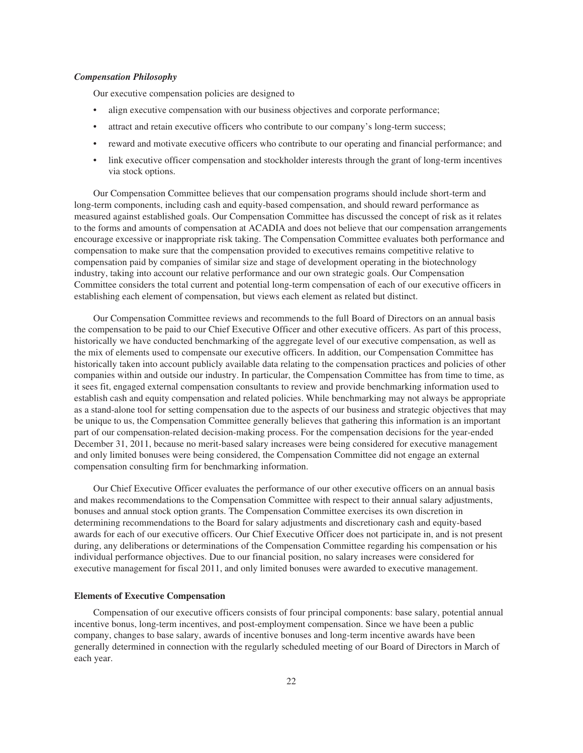## *Compensation Philosophy*

Our executive compensation policies are designed to

- align executive compensation with our business objectives and corporate performance;
- attract and retain executive officers who contribute to our company's long-term success;
- reward and motivate executive officers who contribute to our operating and financial performance; and
- link executive officer compensation and stockholder interests through the grant of long-term incentives via stock options.

Our Compensation Committee believes that our compensation programs should include short-term and long-term components, including cash and equity-based compensation, and should reward performance as measured against established goals. Our Compensation Committee has discussed the concept of risk as it relates to the forms and amounts of compensation at ACADIA and does not believe that our compensation arrangements encourage excessive or inappropriate risk taking. The Compensation Committee evaluates both performance and compensation to make sure that the compensation provided to executives remains competitive relative to compensation paid by companies of similar size and stage of development operating in the biotechnology industry, taking into account our relative performance and our own strategic goals. Our Compensation Committee considers the total current and potential long-term compensation of each of our executive officers in establishing each element of compensation, but views each element as related but distinct.

Our Compensation Committee reviews and recommends to the full Board of Directors on an annual basis the compensation to be paid to our Chief Executive Officer and other executive officers. As part of this process, historically we have conducted benchmarking of the aggregate level of our executive compensation, as well as the mix of elements used to compensate our executive officers. In addition, our Compensation Committee has historically taken into account publicly available data relating to the compensation practices and policies of other companies within and outside our industry. In particular, the Compensation Committee has from time to time, as it sees fit, engaged external compensation consultants to review and provide benchmarking information used to establish cash and equity compensation and related policies. While benchmarking may not always be appropriate as a stand-alone tool for setting compensation due to the aspects of our business and strategic objectives that may be unique to us, the Compensation Committee generally believes that gathering this information is an important part of our compensation-related decision-making process. For the compensation decisions for the year-ended December 31, 2011, because no merit-based salary increases were being considered for executive management and only limited bonuses were being considered, the Compensation Committee did not engage an external compensation consulting firm for benchmarking information.

Our Chief Executive Officer evaluates the performance of our other executive officers on an annual basis and makes recommendations to the Compensation Committee with respect to their annual salary adjustments, bonuses and annual stock option grants. The Compensation Committee exercises its own discretion in determining recommendations to the Board for salary adjustments and discretionary cash and equity-based awards for each of our executive officers. Our Chief Executive Officer does not participate in, and is not present during, any deliberations or determinations of the Compensation Committee regarding his compensation or his individual performance objectives. Due to our financial position, no salary increases were considered for executive management for fiscal 2011, and only limited bonuses were awarded to executive management.

### **Elements of Executive Compensation**

Compensation of our executive officers consists of four principal components: base salary, potential annual incentive bonus, long-term incentives, and post-employment compensation. Since we have been a public company, changes to base salary, awards of incentive bonuses and long-term incentive awards have been generally determined in connection with the regularly scheduled meeting of our Board of Directors in March of each year.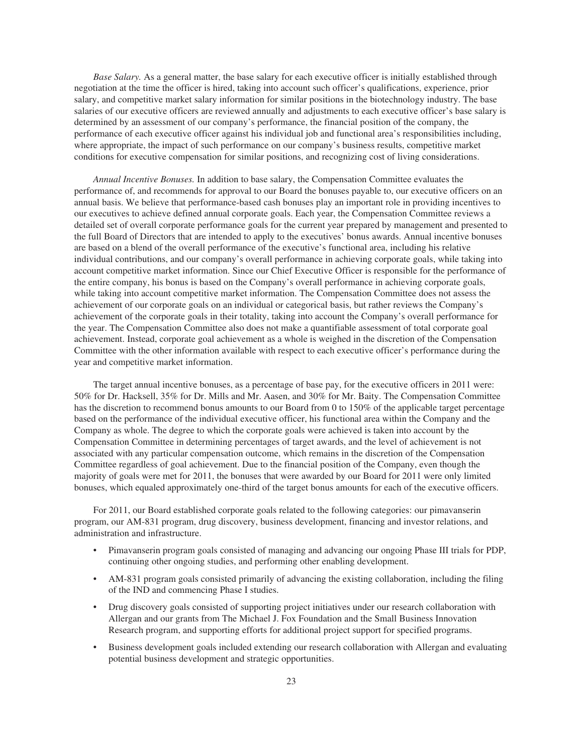*Base Salary.* As a general matter, the base salary for each executive officer is initially established through negotiation at the time the officer is hired, taking into account such officer's qualifications, experience, prior salary, and competitive market salary information for similar positions in the biotechnology industry. The base salaries of our executive officers are reviewed annually and adjustments to each executive officer's base salary is determined by an assessment of our company's performance, the financial position of the company, the performance of each executive officer against his individual job and functional area's responsibilities including, where appropriate, the impact of such performance on our company's business results, competitive market conditions for executive compensation for similar positions, and recognizing cost of living considerations.

*Annual Incentive Bonuses.* In addition to base salary, the Compensation Committee evaluates the performance of, and recommends for approval to our Board the bonuses payable to, our executive officers on an annual basis. We believe that performance-based cash bonuses play an important role in providing incentives to our executives to achieve defined annual corporate goals. Each year, the Compensation Committee reviews a detailed set of overall corporate performance goals for the current year prepared by management and presented to the full Board of Directors that are intended to apply to the executives' bonus awards. Annual incentive bonuses are based on a blend of the overall performance of the executive's functional area, including his relative individual contributions, and our company's overall performance in achieving corporate goals, while taking into account competitive market information. Since our Chief Executive Officer is responsible for the performance of the entire company, his bonus is based on the Company's overall performance in achieving corporate goals, while taking into account competitive market information. The Compensation Committee does not assess the achievement of our corporate goals on an individual or categorical basis, but rather reviews the Company's achievement of the corporate goals in their totality, taking into account the Company's overall performance for the year. The Compensation Committee also does not make a quantifiable assessment of total corporate goal achievement. Instead, corporate goal achievement as a whole is weighed in the discretion of the Compensation Committee with the other information available with respect to each executive officer's performance during the year and competitive market information.

The target annual incentive bonuses, as a percentage of base pay, for the executive officers in 2011 were: 50% for Dr. Hacksell, 35% for Dr. Mills and Mr. Aasen, and 30% for Mr. Baity. The Compensation Committee has the discretion to recommend bonus amounts to our Board from 0 to 150% of the applicable target percentage based on the performance of the individual executive officer, his functional area within the Company and the Company as whole. The degree to which the corporate goals were achieved is taken into account by the Compensation Committee in determining percentages of target awards, and the level of achievement is not associated with any particular compensation outcome, which remains in the discretion of the Compensation Committee regardless of goal achievement. Due to the financial position of the Company, even though the majority of goals were met for 2011, the bonuses that were awarded by our Board for 2011 were only limited bonuses, which equaled approximately one-third of the target bonus amounts for each of the executive officers.

For 2011, our Board established corporate goals related to the following categories: our pimavanserin program, our AM-831 program, drug discovery, business development, financing and investor relations, and administration and infrastructure.

- Pimavanserin program goals consisted of managing and advancing our ongoing Phase III trials for PDP, continuing other ongoing studies, and performing other enabling development.
- AM-831 program goals consisted primarily of advancing the existing collaboration, including the filing of the IND and commencing Phase I studies.
- Drug discovery goals consisted of supporting project initiatives under our research collaboration with Allergan and our grants from The Michael J. Fox Foundation and the Small Business Innovation Research program, and supporting efforts for additional project support for specified programs.
- Business development goals included extending our research collaboration with Allergan and evaluating potential business development and strategic opportunities.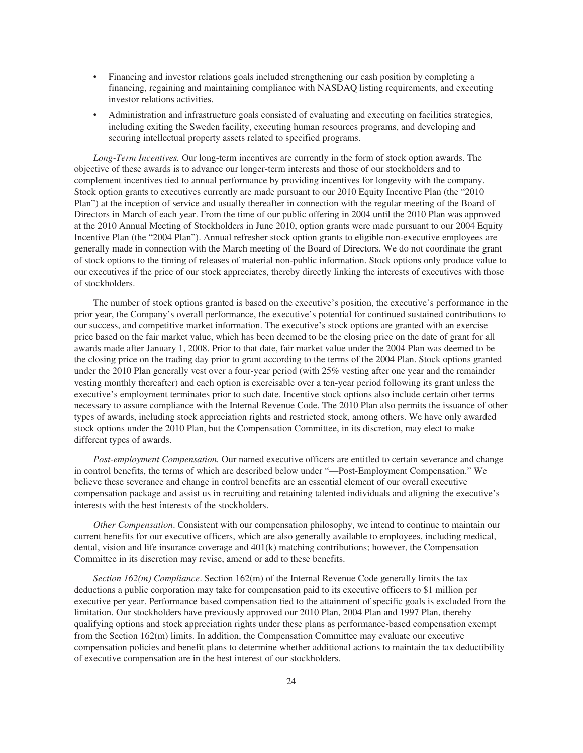- Financing and investor relations goals included strengthening our cash position by completing a financing, regaining and maintaining compliance with NASDAQ listing requirements, and executing investor relations activities.
- Administration and infrastructure goals consisted of evaluating and executing on facilities strategies, including exiting the Sweden facility, executing human resources programs, and developing and securing intellectual property assets related to specified programs.

*Long-Term Incentives.* Our long-term incentives are currently in the form of stock option awards. The objective of these awards is to advance our longer-term interests and those of our stockholders and to complement incentives tied to annual performance by providing incentives for longevity with the company. Stock option grants to executives currently are made pursuant to our 2010 Equity Incentive Plan (the "2010 Plan") at the inception of service and usually thereafter in connection with the regular meeting of the Board of Directors in March of each year. From the time of our public offering in 2004 until the 2010 Plan was approved at the 2010 Annual Meeting of Stockholders in June 2010, option grants were made pursuant to our 2004 Equity Incentive Plan (the "2004 Plan"). Annual refresher stock option grants to eligible non-executive employees are generally made in connection with the March meeting of the Board of Directors. We do not coordinate the grant of stock options to the timing of releases of material non-public information. Stock options only produce value to our executives if the price of our stock appreciates, thereby directly linking the interests of executives with those of stockholders.

The number of stock options granted is based on the executive's position, the executive's performance in the prior year, the Company's overall performance, the executive's potential for continued sustained contributions to our success, and competitive market information. The executive's stock options are granted with an exercise price based on the fair market value, which has been deemed to be the closing price on the date of grant for all awards made after January 1, 2008. Prior to that date, fair market value under the 2004 Plan was deemed to be the closing price on the trading day prior to grant according to the terms of the 2004 Plan. Stock options granted under the 2010 Plan generally vest over a four-year period (with 25% vesting after one year and the remainder vesting monthly thereafter) and each option is exercisable over a ten-year period following its grant unless the executive's employment terminates prior to such date. Incentive stock options also include certain other terms necessary to assure compliance with the Internal Revenue Code. The 2010 Plan also permits the issuance of other types of awards, including stock appreciation rights and restricted stock, among others. We have only awarded stock options under the 2010 Plan, but the Compensation Committee, in its discretion, may elect to make different types of awards.

*Post-employment Compensation.* Our named executive officers are entitled to certain severance and change in control benefits, the terms of which are described below under "—Post-Employment Compensation." We believe these severance and change in control benefits are an essential element of our overall executive compensation package and assist us in recruiting and retaining talented individuals and aligning the executive's interests with the best interests of the stockholders.

*Other Compensation*. Consistent with our compensation philosophy, we intend to continue to maintain our current benefits for our executive officers, which are also generally available to employees, including medical, dental, vision and life insurance coverage and 401(k) matching contributions; however, the Compensation Committee in its discretion may revise, amend or add to these benefits.

*Section 162(m) Compliance*. Section 162(m) of the Internal Revenue Code generally limits the tax deductions a public corporation may take for compensation paid to its executive officers to \$1 million per executive per year. Performance based compensation tied to the attainment of specific goals is excluded from the limitation. Our stockholders have previously approved our 2010 Plan, 2004 Plan and 1997 Plan, thereby qualifying options and stock appreciation rights under these plans as performance-based compensation exempt from the Section 162(m) limits. In addition, the Compensation Committee may evaluate our executive compensation policies and benefit plans to determine whether additional actions to maintain the tax deductibility of executive compensation are in the best interest of our stockholders.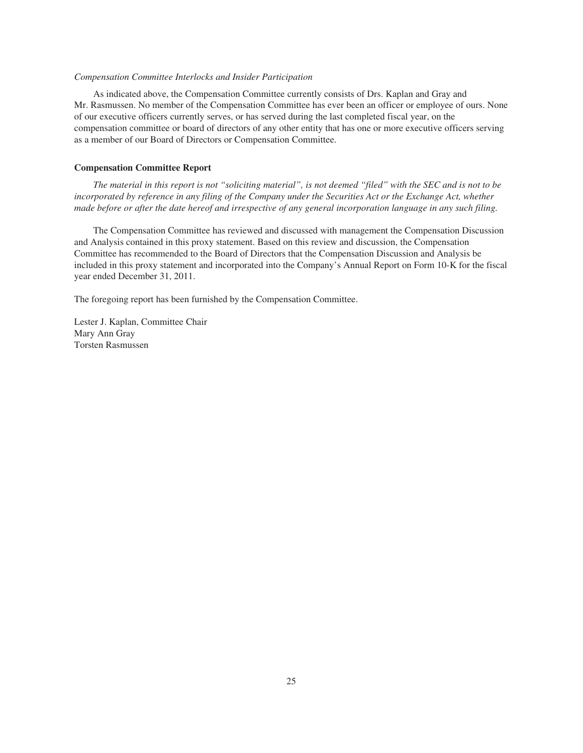### *Compensation Committee Interlocks and Insider Participation*

As indicated above, the Compensation Committee currently consists of Drs. Kaplan and Gray and Mr. Rasmussen. No member of the Compensation Committee has ever been an officer or employee of ours. None of our executive officers currently serves, or has served during the last completed fiscal year, on the compensation committee or board of directors of any other entity that has one or more executive officers serving as a member of our Board of Directors or Compensation Committee.

### **Compensation Committee Report**

*The material in this report is not "soliciting material", is not deemed "filed" with the SEC and is not to be incorporated by reference in any filing of the Company under the Securities Act or the Exchange Act, whether made before or after the date hereof and irrespective of any general incorporation language in any such filing.*

The Compensation Committee has reviewed and discussed with management the Compensation Discussion and Analysis contained in this proxy statement. Based on this review and discussion, the Compensation Committee has recommended to the Board of Directors that the Compensation Discussion and Analysis be included in this proxy statement and incorporated into the Company's Annual Report on Form 10-K for the fiscal year ended December 31, 2011.

The foregoing report has been furnished by the Compensation Committee.

Lester J. Kaplan, Committee Chair Mary Ann Gray Torsten Rasmussen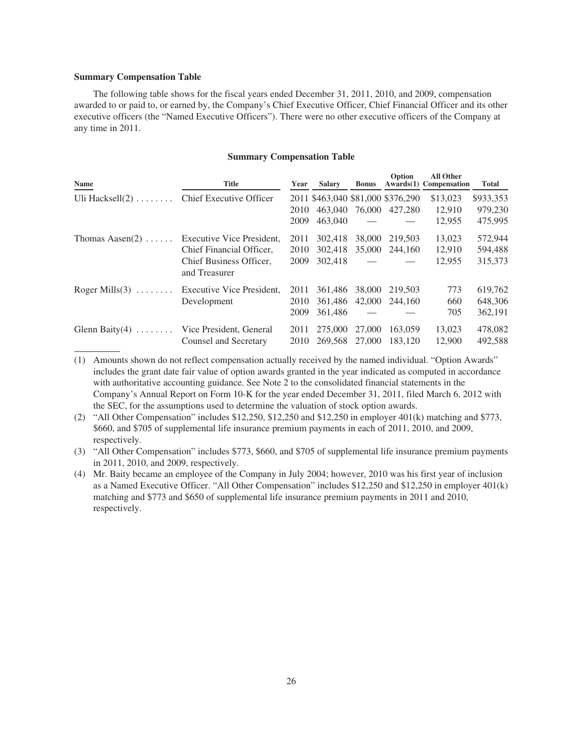## **Summary Compensation Table**

The following table shows for the fiscal years ended December 31, 2011, 2010, and 2009, compensation awarded to or paid to, or earned by, the Company's Chief Executive Officer, Chief Financial Officer and its other executive officers (the "Named Executive Officers"). There were no other executive officers of the Company at any time in 2011.

### **Summary Compensation Table**

| Name               | <b>Title</b>                             | Year | <b>Salary</b> | <b>Bonus</b>   | Option                            | <b>All Other</b><br>Awards(1) Compensation | Total     |
|--------------------|------------------------------------------|------|---------------|----------------|-----------------------------------|--------------------------------------------|-----------|
| Uli Hacksell $(2)$ | Chief Executive Officer                  |      |               |                | 2011 \$463,040 \$81,000 \$376,290 | \$13,023                                   | \$933,353 |
|                    |                                          | 2010 |               | 463,040 76,000 | 427,280                           | 12,910                                     | 979,230   |
|                    |                                          | 2009 | 463,040       |                |                                   | 12,955                                     | 475,995   |
| Thomas Aasen $(2)$ | Executive Vice President,                | 2011 | 302,418       | 38,000         | 219.503                           | 13.023                                     | 572,944   |
|                    | Chief Financial Officer,                 | 2010 | 302,418       | 35,000         | 244.160                           | 12,910                                     | 594,488   |
|                    | Chief Business Officer,<br>and Treasurer | 2009 | 302,418       |                |                                   | 12,955                                     | 315,373   |
| Roger Mills $(3)$  | Executive Vice President,                | 2011 | 361.486       | 38,000         | 219.503                           | 773                                        | 619,762   |
|                    | Development                              | 2010 | 361.486       | 42,000         | 244,160                           | 660                                        | 648,306   |
|                    |                                          | 2009 | 361,486       |                |                                   | 705                                        | 362,191   |
| Glenn Baity $(4)$  | Vice President, General                  | 2011 | 275,000       | 27,000         | 163,059                           | 13.023                                     | 478,082   |
|                    | Counsel and Secretary                    | 2010 | 269.568       | 27,000         | 183.120                           | 12,900                                     | 492.588   |

(1) Amounts shown do not reflect compensation actually received by the named individual. "Option Awards" includes the grant date fair value of option awards granted in the year indicated as computed in accordance with authoritative accounting guidance. See Note 2 to the consolidated financial statements in the Company's Annual Report on Form 10-K for the year ended December 31, 2011, filed March 6, 2012 with the SEC, for the assumptions used to determine the valuation of stock option awards.

(2) "All Other Compensation" includes \$12,250, \$12,250 and \$12,250 in employer 401(k) matching and \$773, \$660, and \$705 of supplemental life insurance premium payments in each of 2011, 2010, and 2009, respectively.

(3) "All Other Compensation" includes \$773, \$660, and \$705 of supplemental life insurance premium payments in 2011, 2010, and 2009, respectively.

(4) Mr. Baity became an employee of the Company in July 2004; however, 2010 was his first year of inclusion as a Named Executive Officer. "All Other Compensation" includes \$12,250 and \$12,250 in employer 401(k) matching and \$773 and \$650 of supplemental life insurance premium payments in 2011 and 2010, respectively.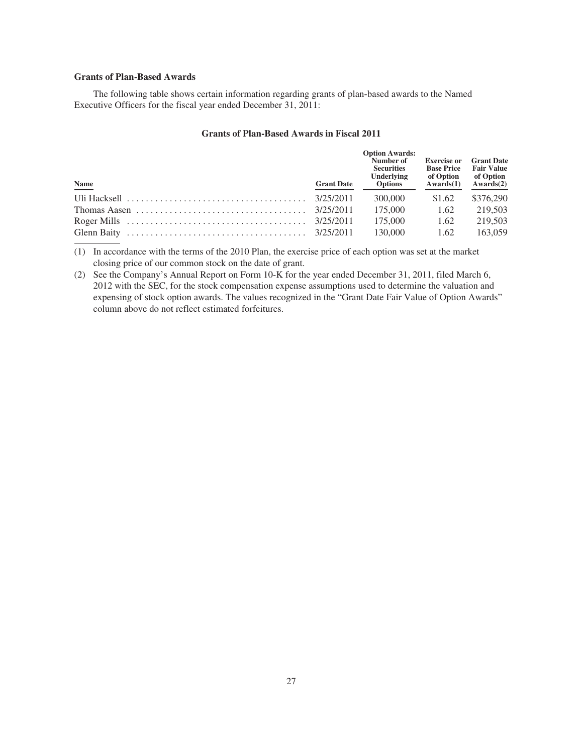## **Grants of Plan-Based Awards**

The following table shows certain information regarding grants of plan-based awards to the Named Executive Officers for the fiscal year ended December 31, 2011:

## **Grants of Plan-Based Awards in Fiscal 2011**

| $\underline{\mathbf{Name}}$ | <b>Grant Date</b> | <b>Option Awards:</b><br>Number of<br><b>Securities</b><br>Underlying<br><b>Options</b> | <b>Exercise or</b><br><b>Base Price</b><br>of Option<br>Awards(1) | <b>Grant Date</b><br><b>Fair Value</b><br>of Option<br>Awards(2) |
|-----------------------------|-------------------|-----------------------------------------------------------------------------------------|-------------------------------------------------------------------|------------------------------------------------------------------|
|                             |                   | 300,000                                                                                 | \$1.62                                                            | \$376,290                                                        |
|                             |                   | 175,000                                                                                 | 1.62                                                              | 219,503                                                          |
|                             |                   | 175,000                                                                                 | 1.62                                                              | 219,503                                                          |
|                             |                   | 130,000                                                                                 | 1.62                                                              | 163,059                                                          |

(1) In accordance with the terms of the 2010 Plan, the exercise price of each option was set at the market closing price of our common stock on the date of grant.

(2) See the Company's Annual Report on Form 10-K for the year ended December 31, 2011, filed March 6, 2012 with the SEC, for the stock compensation expense assumptions used to determine the valuation and expensing of stock option awards. The values recognized in the "Grant Date Fair Value of Option Awards" column above do not reflect estimated forfeitures.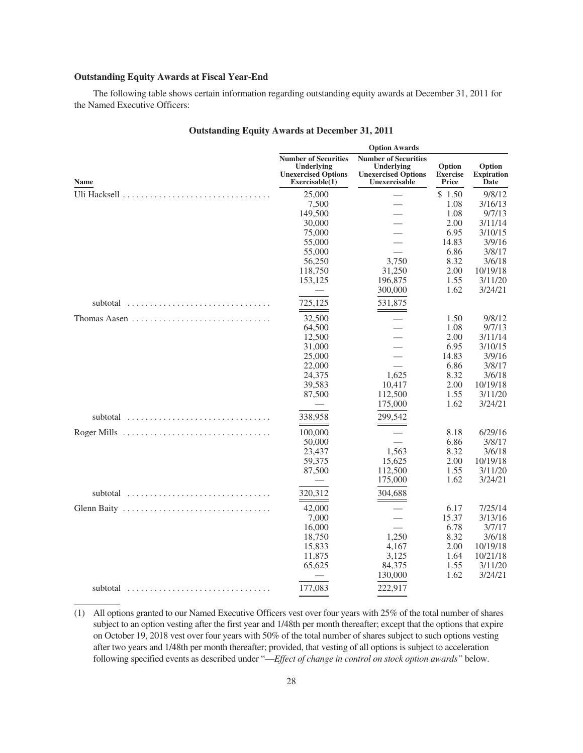## **Outstanding Equity Awards at Fiscal Year-End**

The following table shows certain information regarding outstanding equity awards at December 31, 2011 for the Named Executive Officers:

|             |                                                                                            | <b>Option Awards</b>                                                                     |                                    |                                     |
|-------------|--------------------------------------------------------------------------------------------|------------------------------------------------------------------------------------------|------------------------------------|-------------------------------------|
| Name        | <b>Number of Securities</b><br>Underlying<br><b>Unexercised Options</b><br>Exerciseable(1) | <b>Number of Securities</b><br>Underlying<br><b>Unexercised Options</b><br>Unexercisable | Option<br><b>Exercise</b><br>Price | Option<br><b>Expiration</b><br>Date |
|             | 25,000                                                                                     |                                                                                          | \$1.50                             | 9/8/12                              |
|             | 7,500                                                                                      |                                                                                          | 1.08                               | 3/16/13                             |
|             | 149,500                                                                                    |                                                                                          | 1.08                               | 9/7/13                              |
|             | 30,000                                                                                     |                                                                                          | 2.00                               | 3/11/14                             |
|             | 75,000                                                                                     |                                                                                          | 6.95                               | 3/10/15                             |
|             | 55,000                                                                                     |                                                                                          | 14.83                              | 3/9/16                              |
|             | 55,000                                                                                     |                                                                                          | 6.86                               | 3/8/17                              |
|             | 56,250                                                                                     | 3,750                                                                                    | 8.32                               | 3/6/18                              |
|             | 118,750                                                                                    | 31,250                                                                                   | 2.00                               | 10/19/18                            |
|             | 153,125                                                                                    | 196,875                                                                                  | 1.55                               | 3/11/20                             |
|             |                                                                                            | 300,000                                                                                  | 1.62                               | 3/24/21                             |
| subtotal    | 725,125                                                                                    | 531,875<br>_____                                                                         |                                    |                                     |
|             | 32,500                                                                                     |                                                                                          | 1.50                               | 9/8/12                              |
|             | 64,500                                                                                     |                                                                                          | 1.08                               | 9/7/13                              |
|             | 12,500                                                                                     |                                                                                          | 2.00                               | 3/11/14                             |
|             | 31,000                                                                                     |                                                                                          | 6.95                               | 3/10/15                             |
|             | 25,000                                                                                     |                                                                                          | 14.83                              | 3/9/16                              |
|             | 22,000                                                                                     |                                                                                          | 6.86                               | 3/8/17                              |
|             | 24,375                                                                                     | 1.625                                                                                    | 8.32                               | 3/6/18                              |
|             | 39,583                                                                                     | 10,417                                                                                   | 2.00                               | 10/19/18                            |
|             | 87,500                                                                                     | 112,500                                                                                  | 1.55                               | 3/11/20                             |
|             |                                                                                            | 175,000                                                                                  | 1.62                               | 3/24/21                             |
| subtotal    | 338,958                                                                                    | 299,542                                                                                  |                                    |                                     |
|             | 100,000                                                                                    |                                                                                          | 8.18                               | 6/29/16                             |
|             | 50,000                                                                                     |                                                                                          | 6.86                               | 3/8/17                              |
|             | 23,437                                                                                     | 1,563                                                                                    | 8.32                               | 3/6/18                              |
|             | 59,375                                                                                     | 15,625                                                                                   | 2.00                               | 10/19/18                            |
|             | 87,500                                                                                     | 112,500                                                                                  | 1.55                               | 3/11/20                             |
|             |                                                                                            | 175,000                                                                                  | 1.62                               | 3/24/21                             |
| subtotal    | 320,312                                                                                    | 304,688                                                                                  |                                    |                                     |
| Glenn Baity | 42,000                                                                                     |                                                                                          | 6.17                               | 7/25/14                             |
|             | 7,000                                                                                      |                                                                                          | 15.37                              | 3/13/16                             |
|             | 16,000                                                                                     |                                                                                          | 6.78                               | 3/7/17                              |
|             | 18,750                                                                                     | 1,250                                                                                    | 8.32                               | 3/6/18                              |
|             | 15,833                                                                                     | 4,167                                                                                    | 2.00                               | 10/19/18                            |
|             | 11,875                                                                                     | 3,125                                                                                    | 1.64                               | 10/21/18                            |
|             | 65,625                                                                                     | 84,375                                                                                   | 1.55                               | 3/11/20                             |
|             |                                                                                            | 130,000                                                                                  | 1.62                               | 3/24/21                             |
| subtotal    | 177,083                                                                                    | 222,917                                                                                  |                                    |                                     |

## **Outstanding Equity Awards at December 31, 2011**

<sup>(1)</sup> All options granted to our Named Executive Officers vest over four years with 25% of the total number of shares subject to an option vesting after the first year and 1/48th per month thereafter; except that the options that expire on October 19, 2018 vest over four years with 50% of the total number of shares subject to such options vesting after two years and 1/48th per month thereafter; provided, that vesting of all options is subject to acceleration following specified events as described under "—*Effect of change in control on stock option awards"* below.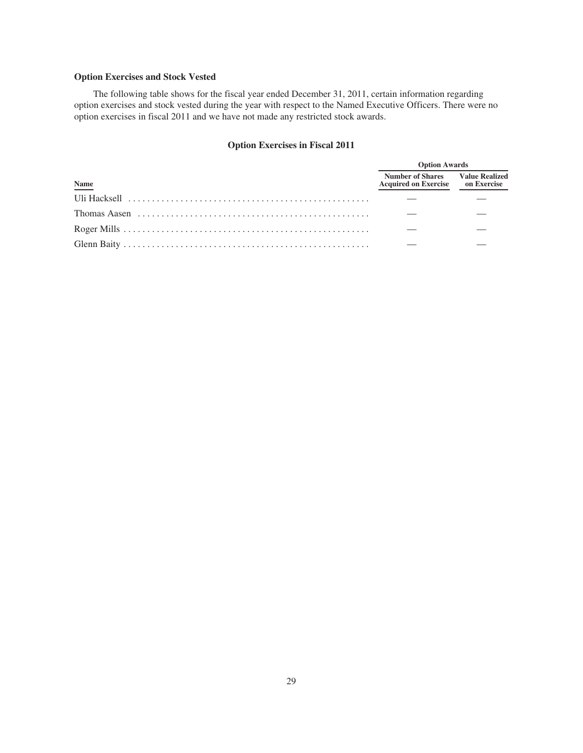## **Option Exercises and Stock Vested**

The following table shows for the fiscal year ended December 31, 2011, certain information regarding option exercises and stock vested during the year with respect to the Named Executive Officers. There were no option exercises in fiscal 2011 and we have not made any restricted stock awards.

## **Option Exercises in Fiscal 2011**

|                                                                                                                | <b>Option Awards</b>                                                               |  |  |
|----------------------------------------------------------------------------------------------------------------|------------------------------------------------------------------------------------|--|--|
| Name                                                                                                           | <b>Number of Shares</b> Value Realized<br><b>Acquired on Exercise </b> on Exercise |  |  |
|                                                                                                                |                                                                                    |  |  |
| Thomas Aasen $\dots \dots \dots \dots \dots \dots \dots \dots \dots \dots \dots \dots \dots \dots \dots \dots$ |                                                                                    |  |  |
|                                                                                                                |                                                                                    |  |  |
|                                                                                                                |                                                                                    |  |  |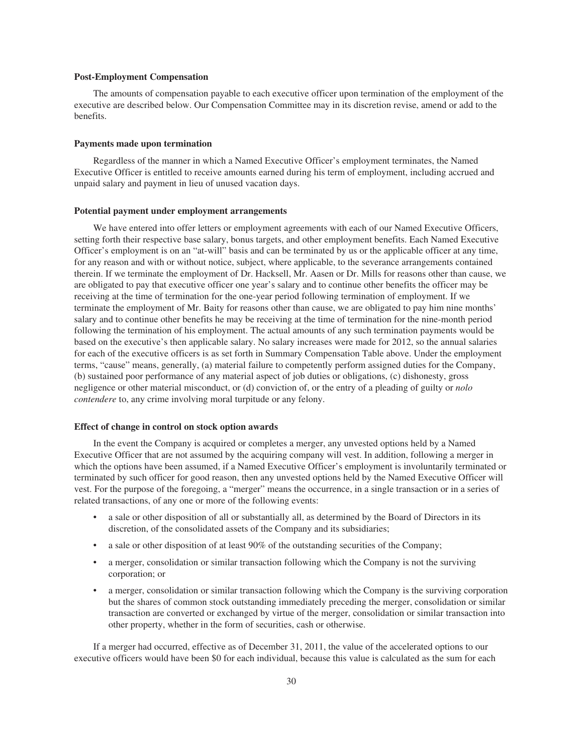### **Post-Employment Compensation**

The amounts of compensation payable to each executive officer upon termination of the employment of the executive are described below. Our Compensation Committee may in its discretion revise, amend or add to the benefits.

#### **Payments made upon termination**

Regardless of the manner in which a Named Executive Officer's employment terminates, the Named Executive Officer is entitled to receive amounts earned during his term of employment, including accrued and unpaid salary and payment in lieu of unused vacation days.

#### **Potential payment under employment arrangements**

We have entered into offer letters or employment agreements with each of our Named Executive Officers, setting forth their respective base salary, bonus targets, and other employment benefits. Each Named Executive Officer's employment is on an "at-will" basis and can be terminated by us or the applicable officer at any time, for any reason and with or without notice, subject, where applicable, to the severance arrangements contained therein. If we terminate the employment of Dr. Hacksell, Mr. Aasen or Dr. Mills for reasons other than cause, we are obligated to pay that executive officer one year's salary and to continue other benefits the officer may be receiving at the time of termination for the one-year period following termination of employment. If we terminate the employment of Mr. Baity for reasons other than cause, we are obligated to pay him nine months' salary and to continue other benefits he may be receiving at the time of termination for the nine-month period following the termination of his employment. The actual amounts of any such termination payments would be based on the executive's then applicable salary. No salary increases were made for 2012, so the annual salaries for each of the executive officers is as set forth in Summary Compensation Table above. Under the employment terms, "cause" means, generally, (a) material failure to competently perform assigned duties for the Company, (b) sustained poor performance of any material aspect of job duties or obligations, (c) dishonesty, gross negligence or other material misconduct, or (d) conviction of, or the entry of a pleading of guilty or *nolo contendere* to, any crime involving moral turpitude or any felony.

#### **Effect of change in control on stock option awards**

In the event the Company is acquired or completes a merger, any unvested options held by a Named Executive Officer that are not assumed by the acquiring company will vest. In addition, following a merger in which the options have been assumed, if a Named Executive Officer's employment is involuntarily terminated or terminated by such officer for good reason, then any unvested options held by the Named Executive Officer will vest. For the purpose of the foregoing, a "merger" means the occurrence, in a single transaction or in a series of related transactions, of any one or more of the following events:

- a sale or other disposition of all or substantially all, as determined by the Board of Directors in its discretion, of the consolidated assets of the Company and its subsidiaries;
- a sale or other disposition of at least 90% of the outstanding securities of the Company;
- a merger, consolidation or similar transaction following which the Company is not the surviving corporation; or
- a merger, consolidation or similar transaction following which the Company is the surviving corporation but the shares of common stock outstanding immediately preceding the merger, consolidation or similar transaction are converted or exchanged by virtue of the merger, consolidation or similar transaction into other property, whether in the form of securities, cash or otherwise.

If a merger had occurred, effective as of December 31, 2011, the value of the accelerated options to our executive officers would have been \$0 for each individual, because this value is calculated as the sum for each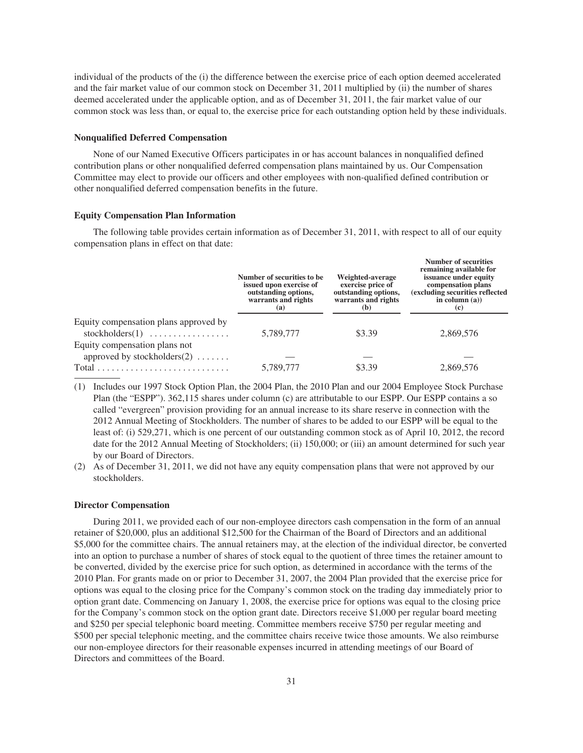individual of the products of the (i) the difference between the exercise price of each option deemed accelerated and the fair market value of our common stock on December 31, 2011 multiplied by (ii) the number of shares deemed accelerated under the applicable option, and as of December 31, 2011, the fair market value of our common stock was less than, or equal to, the exercise price for each outstanding option held by these individuals.

#### **Nonqualified Deferred Compensation**

None of our Named Executive Officers participates in or has account balances in nonqualified defined contribution plans or other nonqualified deferred compensation plans maintained by us. Our Compensation Committee may elect to provide our officers and other employees with non-qualified defined contribution or other nonqualified deferred compensation benefits in the future.

### **Equity Compensation Plan Information**

The following table provides certain information as of December 31, 2011, with respect to all of our equity compensation plans in effect on that date:

**Number of securities**

|                                                                                        | Number of securities to be.<br>issued upon exercise of<br>outstanding options,<br>warrants and rights<br>(a) | Weighted-average<br>exercise price of<br>outstanding options,<br>warrants and rights<br>(b) | <b>NUMBER OF SECULIFIES</b><br>remaining available for<br>issuance under equity<br>compensation plans<br>(excluding securities reflected<br>in column $(a)$ )<br>$\left( \mathbf{c} \right)$ |
|----------------------------------------------------------------------------------------|--------------------------------------------------------------------------------------------------------------|---------------------------------------------------------------------------------------------|----------------------------------------------------------------------------------------------------------------------------------------------------------------------------------------------|
| Equity compensation plans approved by<br>$stockholders(1) \ldots \ldots \ldots \ldots$ | 5,789,777                                                                                                    | \$3.39                                                                                      | 2,869,576                                                                                                                                                                                    |
| Equity compensation plans not<br>approved by stockholders $(2)$                        |                                                                                                              |                                                                                             |                                                                                                                                                                                              |
|                                                                                        | 5,789,777                                                                                                    | \$3.39                                                                                      | 2,869,576                                                                                                                                                                                    |

(1) Includes our 1997 Stock Option Plan, the 2004 Plan, the 2010 Plan and our 2004 Employee Stock Purchase Plan (the "ESPP"). 362,115 shares under column (c) are attributable to our ESPP. Our ESPP contains a so called "evergreen" provision providing for an annual increase to its share reserve in connection with the 2012 Annual Meeting of Stockholders. The number of shares to be added to our ESPP will be equal to the least of: (i) 529,271, which is one percent of our outstanding common stock as of April 10, 2012, the record date for the 2012 Annual Meeting of Stockholders; (ii) 150,000; or (iii) an amount determined for such year by our Board of Directors.

(2) As of December 31, 2011, we did not have any equity compensation plans that were not approved by our stockholders.

#### **Director Compensation**

During 2011, we provided each of our non-employee directors cash compensation in the form of an annual retainer of \$20,000, plus an additional \$12,500 for the Chairman of the Board of Directors and an additional \$5,000 for the committee chairs. The annual retainers may, at the election of the individual director, be converted into an option to purchase a number of shares of stock equal to the quotient of three times the retainer amount to be converted, divided by the exercise price for such option, as determined in accordance with the terms of the 2010 Plan. For grants made on or prior to December 31, 2007, the 2004 Plan provided that the exercise price for options was equal to the closing price for the Company's common stock on the trading day immediately prior to option grant date. Commencing on January 1, 2008, the exercise price for options was equal to the closing price for the Company's common stock on the option grant date. Directors receive \$1,000 per regular board meeting and \$250 per special telephonic board meeting. Committee members receive \$750 per regular meeting and \$500 per special telephonic meeting, and the committee chairs receive twice those amounts. We also reimburse our non-employee directors for their reasonable expenses incurred in attending meetings of our Board of Directors and committees of the Board.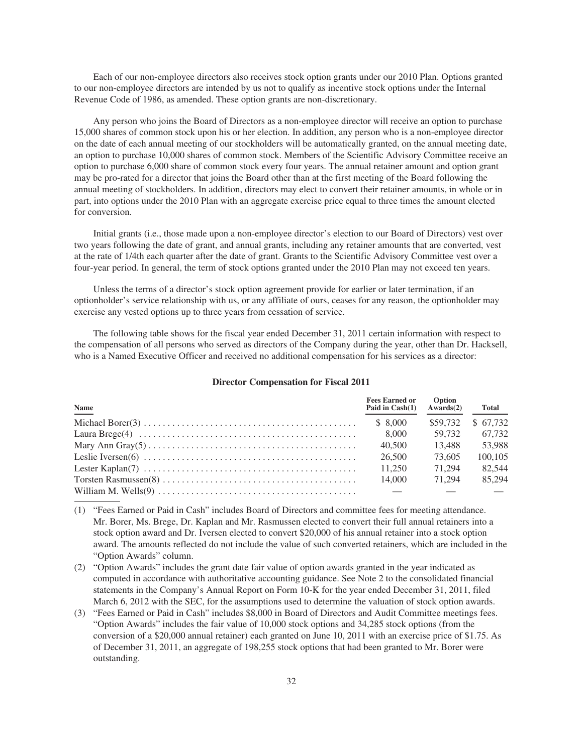Each of our non-employee directors also receives stock option grants under our 2010 Plan. Options granted to our non-employee directors are intended by us not to qualify as incentive stock options under the Internal Revenue Code of 1986, as amended. These option grants are non-discretionary.

Any person who joins the Board of Directors as a non-employee director will receive an option to purchase 15,000 shares of common stock upon his or her election. In addition, any person who is a non-employee director on the date of each annual meeting of our stockholders will be automatically granted, on the annual meeting date, an option to purchase 10,000 shares of common stock. Members of the Scientific Advisory Committee receive an option to purchase 6,000 share of common stock every four years. The annual retainer amount and option grant may be pro-rated for a director that joins the Board other than at the first meeting of the Board following the annual meeting of stockholders. In addition, directors may elect to convert their retainer amounts, in whole or in part, into options under the 2010 Plan with an aggregate exercise price equal to three times the amount elected for conversion.

Initial grants (i.e., those made upon a non-employee director's election to our Board of Directors) vest over two years following the date of grant, and annual grants, including any retainer amounts that are converted, vest at the rate of 1/4th each quarter after the date of grant. Grants to the Scientific Advisory Committee vest over a four-year period. In general, the term of stock options granted under the 2010 Plan may not exceed ten years.

Unless the terms of a director's stock option agreement provide for earlier or later termination, if an optionholder's service relationship with us, or any affiliate of ours, ceases for any reason, the optionholder may exercise any vested options up to three years from cessation of service.

The following table shows for the fiscal year ended December 31, 2011 certain information with respect to the compensation of all persons who served as directors of the Company during the year, other than Dr. Hacksell, who is a Named Executive Officer and received no additional compensation for his services as a director:

| <b>Name</b> | <b>Fees Earned or</b><br>Paid in $Cash(1)$ | Option<br>Awards(2) | Total    |
|-------------|--------------------------------------------|---------------------|----------|
|             | \$8.000                                    | \$59.732            | \$67,732 |
|             | 8.000                                      | 59.732              | 67.732   |
|             | 40.500                                     | 13.488              | 53.988   |
|             | 26.500                                     | 73.605              | 100.105  |
|             | 11.250                                     | 71.294              | 82.544   |
|             | 14.000                                     | 71.294              | 85.294   |
|             |                                            |                     |          |

### **Director Compensation for Fiscal 2011**

(1) "Fees Earned or Paid in Cash" includes Board of Directors and committee fees for meeting attendance. Mr. Borer, Ms. Brege, Dr. Kaplan and Mr. Rasmussen elected to convert their full annual retainers into a stock option award and Dr. Iversen elected to convert \$20,000 of his annual retainer into a stock option award. The amounts reflected do not include the value of such converted retainers, which are included in the "Option Awards" column.

- (2) "Option Awards" includes the grant date fair value of option awards granted in the year indicated as computed in accordance with authoritative accounting guidance. See Note 2 to the consolidated financial statements in the Company's Annual Report on Form 10-K for the year ended December 31, 2011, filed March 6, 2012 with the SEC, for the assumptions used to determine the valuation of stock option awards.
- (3) "Fees Earned or Paid in Cash" includes \$8,000 in Board of Directors and Audit Committee meetings fees. "Option Awards" includes the fair value of 10,000 stock options and 34,285 stock options (from the conversion of a \$20,000 annual retainer) each granted on June 10, 2011 with an exercise price of \$1.75. As of December 31, 2011, an aggregate of 198,255 stock options that had been granted to Mr. Borer were outstanding.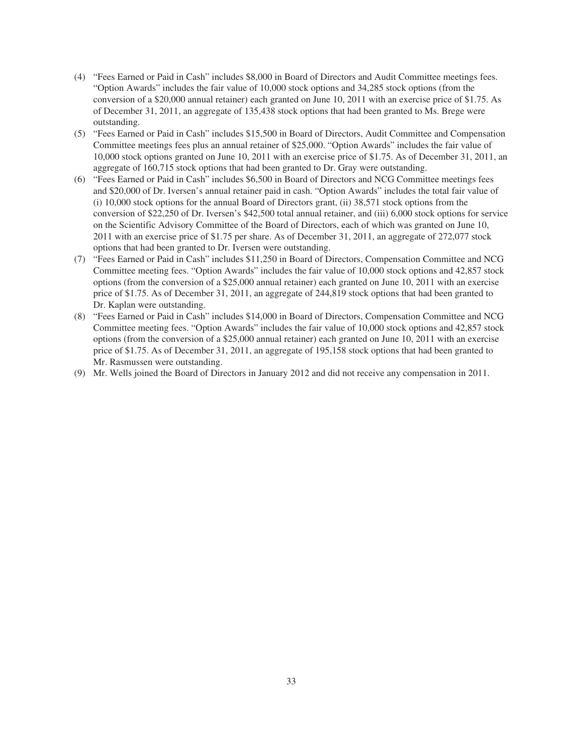- (4) "Fees Earned or Paid in Cash" includes \$8,000 in Board of Directors and Audit Committee meetings fees. "Option Awards" includes the fair value of 10,000 stock options and 34,285 stock options (from the conversion of a \$20,000 annual retainer) each granted on June 10, 2011 with an exercise price of \$1.75. As of December 31, 2011, an aggregate of 135,438 stock options that had been granted to Ms. Brege were outstanding.
- (5) "Fees Earned or Paid in Cash" includes \$15,500 in Board of Directors, Audit Committee and Compensation Committee meetings fees plus an annual retainer of \$25,000. "Option Awards" includes the fair value of 10,000 stock options granted on June 10, 2011 with an exercise price of \$1.75. As of December 31, 2011, an aggregate of 160,715 stock options that had been granted to Dr. Gray were outstanding.
- (6) "Fees Earned or Paid in Cash" includes \$6,500 in Board of Directors and NCG Committee meetings fees and \$20,000 of Dr. Iversen's annual retainer paid in cash. "Option Awards" includes the total fair value of (i) 10,000 stock options for the annual Board of Directors grant, (ii) 38,571 stock options from the conversion of \$22,250 of Dr. Iversen's \$42,500 total annual retainer, and (iii) 6,000 stock options for service on the Scientific Advisory Committee of the Board of Directors, each of which was granted on June 10, 2011 with an exercise price of \$1.75 per share. As of December 31, 2011, an aggregate of 272,077 stock options that had been granted to Dr. Iversen were outstanding.
- (7) "Fees Earned or Paid in Cash" includes \$11,250 in Board of Directors, Compensation Committee and NCG Committee meeting fees. "Option Awards" includes the fair value of 10,000 stock options and 42,857 stock options (from the conversion of a \$25,000 annual retainer) each granted on June 10, 2011 with an exercise price of \$1.75. As of December 31, 2011, an aggregate of 244,819 stock options that had been granted to Dr. Kaplan were outstanding.
- (8) "Fees Earned or Paid in Cash" includes \$14,000 in Board of Directors, Compensation Committee and NCG Committee meeting fees. "Option Awards" includes the fair value of 10,000 stock options and 42,857 stock options (from the conversion of a \$25,000 annual retainer) each granted on June 10, 2011 with an exercise price of \$1.75. As of December 31, 2011, an aggregate of 195,158 stock options that had been granted to Mr. Rasmussen were outstanding.
- (9) Mr. Wells joined the Board of Directors in January 2012 and did not receive any compensation in 2011.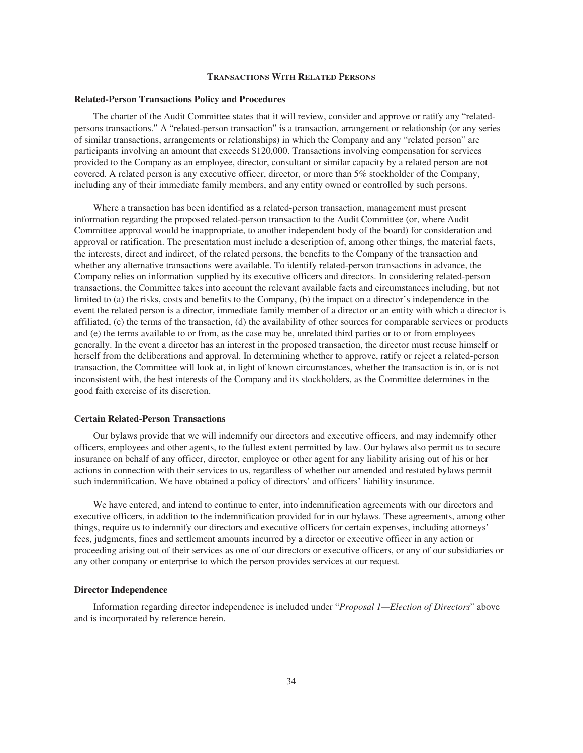### **TRANSACTIONS WITH RELATED PERSONS**

#### **Related-Person Transactions Policy and Procedures**

The charter of the Audit Committee states that it will review, consider and approve or ratify any "relatedpersons transactions." A "related-person transaction" is a transaction, arrangement or relationship (or any series of similar transactions, arrangements or relationships) in which the Company and any "related person" are participants involving an amount that exceeds \$120,000. Transactions involving compensation for services provided to the Company as an employee, director, consultant or similar capacity by a related person are not covered. A related person is any executive officer, director, or more than 5% stockholder of the Company, including any of their immediate family members, and any entity owned or controlled by such persons.

Where a transaction has been identified as a related-person transaction, management must present information regarding the proposed related-person transaction to the Audit Committee (or, where Audit Committee approval would be inappropriate, to another independent body of the board) for consideration and approval or ratification. The presentation must include a description of, among other things, the material facts, the interests, direct and indirect, of the related persons, the benefits to the Company of the transaction and whether any alternative transactions were available. To identify related-person transactions in advance, the Company relies on information supplied by its executive officers and directors. In considering related-person transactions, the Committee takes into account the relevant available facts and circumstances including, but not limited to (a) the risks, costs and benefits to the Company, (b) the impact on a director's independence in the event the related person is a director, immediate family member of a director or an entity with which a director is affiliated, (c) the terms of the transaction, (d) the availability of other sources for comparable services or products and (e) the terms available to or from, as the case may be, unrelated third parties or to or from employees generally. In the event a director has an interest in the proposed transaction, the director must recuse himself or herself from the deliberations and approval. In determining whether to approve, ratify or reject a related-person transaction, the Committee will look at, in light of known circumstances, whether the transaction is in, or is not inconsistent with, the best interests of the Company and its stockholders, as the Committee determines in the good faith exercise of its discretion.

### **Certain Related-Person Transactions**

Our bylaws provide that we will indemnify our directors and executive officers, and may indemnify other officers, employees and other agents, to the fullest extent permitted by law. Our bylaws also permit us to secure insurance on behalf of any officer, director, employee or other agent for any liability arising out of his or her actions in connection with their services to us, regardless of whether our amended and restated bylaws permit such indemnification. We have obtained a policy of directors' and officers' liability insurance.

We have entered, and intend to continue to enter, into indemnification agreements with our directors and executive officers, in addition to the indemnification provided for in our bylaws. These agreements, among other things, require us to indemnify our directors and executive officers for certain expenses, including attorneys' fees, judgments, fines and settlement amounts incurred by a director or executive officer in any action or proceeding arising out of their services as one of our directors or executive officers, or any of our subsidiaries or any other company or enterprise to which the person provides services at our request.

## **Director Independence**

Information regarding director independence is included under "*Proposal 1—Election of Directors*" above and is incorporated by reference herein.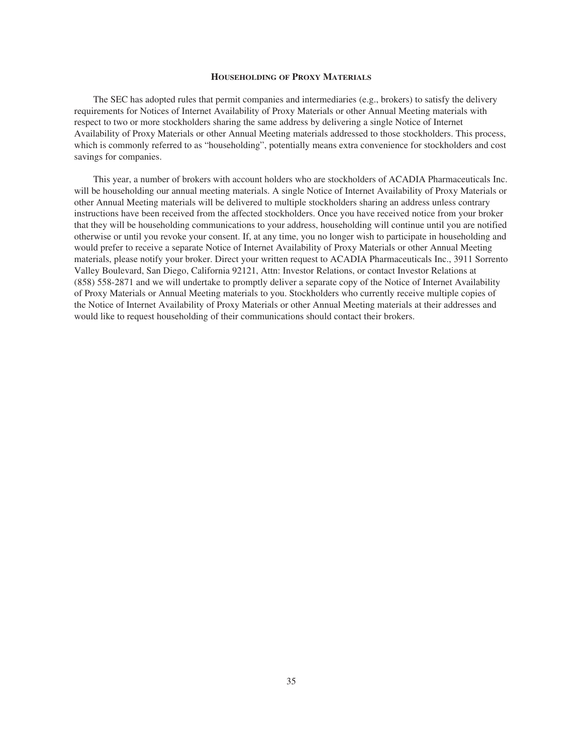## **HOUSEHOLDING OF PROXY MATERIALS**

The SEC has adopted rules that permit companies and intermediaries (e.g., brokers) to satisfy the delivery requirements for Notices of Internet Availability of Proxy Materials or other Annual Meeting materials with respect to two or more stockholders sharing the same address by delivering a single Notice of Internet Availability of Proxy Materials or other Annual Meeting materials addressed to those stockholders. This process, which is commonly referred to as "householding", potentially means extra convenience for stockholders and cost savings for companies.

This year, a number of brokers with account holders who are stockholders of ACADIA Pharmaceuticals Inc. will be householding our annual meeting materials. A single Notice of Internet Availability of Proxy Materials or other Annual Meeting materials will be delivered to multiple stockholders sharing an address unless contrary instructions have been received from the affected stockholders. Once you have received notice from your broker that they will be householding communications to your address, householding will continue until you are notified otherwise or until you revoke your consent. If, at any time, you no longer wish to participate in householding and would prefer to receive a separate Notice of Internet Availability of Proxy Materials or other Annual Meeting materials, please notify your broker. Direct your written request to ACADIA Pharmaceuticals Inc., 3911 Sorrento Valley Boulevard, San Diego, California 92121, Attn: Investor Relations, or contact Investor Relations at (858) 558-2871 and we will undertake to promptly deliver a separate copy of the Notice of Internet Availability of Proxy Materials or Annual Meeting materials to you. Stockholders who currently receive multiple copies of the Notice of Internet Availability of Proxy Materials or other Annual Meeting materials at their addresses and would like to request householding of their communications should contact their brokers.